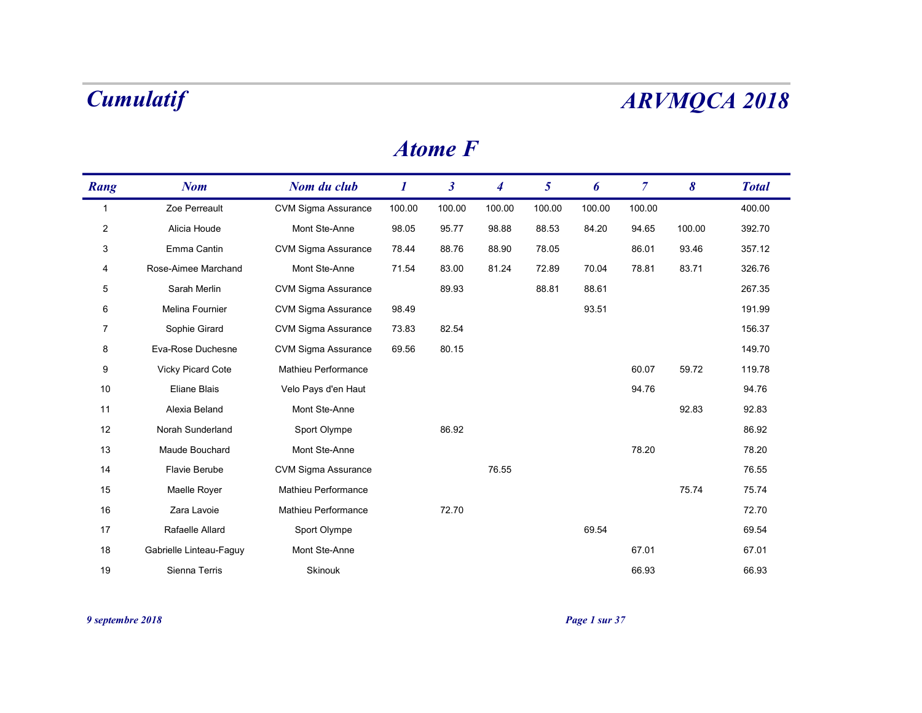### Atome F

|                | <b>Cumulatif</b>        |                            |                  |                      |                  |                 |        |                |        | <b>ARVMQCA 2018</b> |
|----------------|-------------------------|----------------------------|------------------|----------------------|------------------|-----------------|--------|----------------|--------|---------------------|
|                |                         |                            |                  | <b>Atome F</b>       |                  |                 |        |                |        |                     |
| Rang           | <b>Nom</b>              | Nom du club                | $\boldsymbol{I}$ | $\boldsymbol{\beta}$ | $\boldsymbol{4}$ | $5\overline{)}$ | 6      | $\overline{7}$ | 8      | <b>Total</b>        |
| $\overline{1}$ | Zoe Perreault           | <b>CVM Sigma Assurance</b> | 100.00           | 100.00               | 100.00           | 100.00          | 100.00 | 100.00         |        | 400.00              |
| $\overline{2}$ | Alicia Houde            | Mont Ste-Anne              | 98.05            | 95.77                | 98.88            | 88.53           | 84.20  | 94.65          | 100.00 | 392.70              |
| 3              | Emma Cantin             | <b>CVM Sigma Assurance</b> | 78.44            | 88.76                | 88.90            | 78.05           |        | 86.01          | 93.46  | 357.12              |
| 4              | Rose-Aimee Marchand     | Mont Ste-Anne              | 71.54            | 83.00                | 81.24            | 72.89           | 70.04  | 78.81          | 83.71  | 326.76              |
| $\overline{5}$ | Sarah Merlin            | <b>CVM Sigma Assurance</b> |                  | 89.93                |                  | 88.81           | 88.61  |                |        | 267.35              |
| 6              | Melina Fournier         | <b>CVM Sigma Assurance</b> | 98.49            |                      |                  |                 | 93.51  |                |        | 191.99              |
| $\overline{7}$ | Sophie Girard           | <b>CVM Sigma Assurance</b> | 73.83            | 82.54                |                  |                 |        |                |        | 156.37              |
| 8              | Eva-Rose Duchesne       | <b>CVM Sigma Assurance</b> | 69.56            | 80.15                |                  |                 |        |                |        | 149.70              |
| 9              | Vicky Picard Cote       | Mathieu Performance        |                  |                      |                  |                 |        | 60.07          | 59.72  | 119.78              |
| 10             | Eliane Blais            | Velo Pays d'en Haut        |                  |                      |                  |                 |        | 94.76          |        | 94.76               |
| 11             | Alexia Beland           | Mont Ste-Anne              |                  |                      |                  |                 |        |                | 92.83  | 92.83               |
| 12             | Norah Sunderland        | Sport Olympe               |                  | 86.92                |                  |                 |        |                |        | 86.92               |
| 13             | Maude Bouchard          | Mont Ste-Anne              |                  |                      |                  |                 |        | 78.20          |        | 78.20               |
| 14             | Flavie Berube           | CVM Sigma Assurance        |                  |                      | 76.55            |                 |        |                |        | 76.55               |
| 15             | Maelle Royer            | Mathieu Performance        |                  |                      |                  |                 |        |                | 75.74  | 75.74               |
| 16             | Zara Lavoie             | Mathieu Performance        |                  | 72.70                |                  |                 |        |                |        | 72.70               |
| 17             | Rafaelle Allard         | Sport Olympe               |                  |                      |                  |                 | 69.54  |                |        | 69.54               |
| 18             | Gabrielle Linteau-Faguy | Mont Ste-Anne              |                  |                      |                  |                 |        | 67.01          |        | 67.01               |
|                | Sienna Terris           | Skinouk                    |                  |                      |                  |                 |        | 66.93          |        | 66.93               |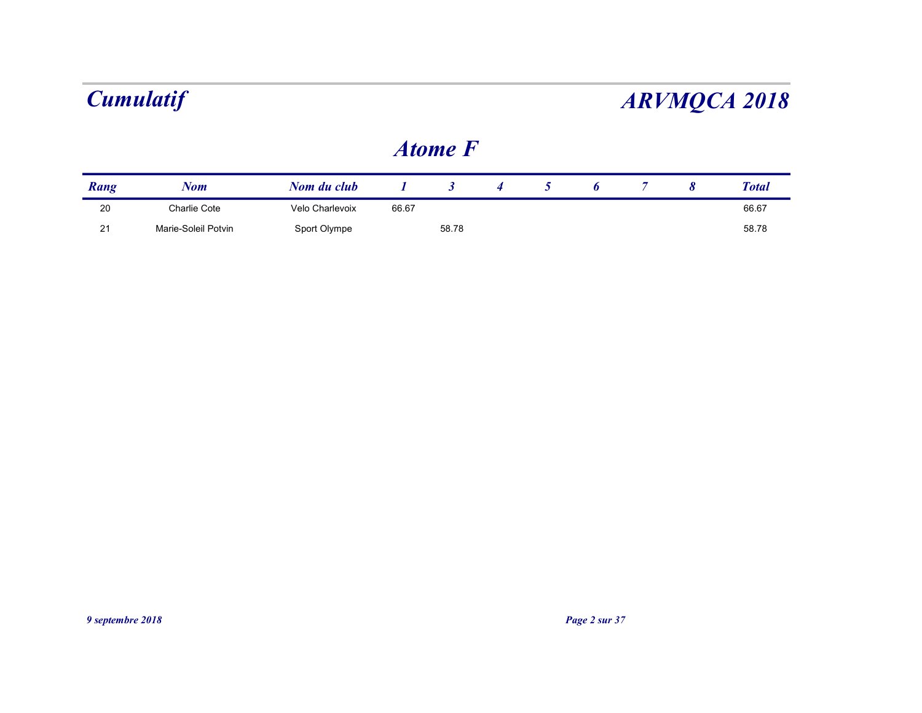### Atome F

|      | <b>Cumulatif</b> |                 |                  |                      |                  |                |   |                |                       | <b>ARVMQCA 2018</b> |
|------|------------------|-----------------|------------------|----------------------|------------------|----------------|---|----------------|-----------------------|---------------------|
|      |                  |                 |                  | <b>Atome F</b>       |                  |                |   |                |                       |                     |
|      | <b>Nom</b>       | Nom du club     | $\boldsymbol{I}$ | $\boldsymbol{\beta}$ | $\boldsymbol{4}$ | 5 <sup>5</sup> | 6 | $\overline{7}$ | $\boldsymbol{\delta}$ | <b>Total</b>        |
| Rang |                  |                 | 66.67            |                      |                  |                |   |                |                       | 66.67               |
| 20   | Charlie Cote     | Velo Charlevoix |                  |                      |                  |                |   |                |                       | 58.78               |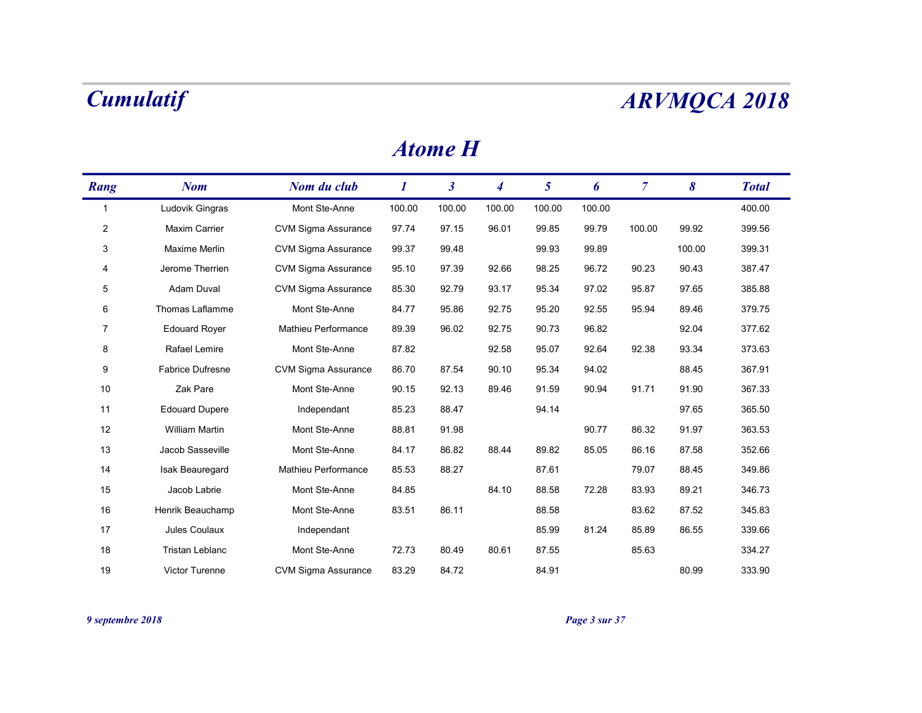|                | <b>Cumulatif</b>        |                            |                  |                      |                  |                 |        |                |        | <b>ARVMQCA 2018</b> |
|----------------|-------------------------|----------------------------|------------------|----------------------|------------------|-----------------|--------|----------------|--------|---------------------|
|                |                         |                            |                  | <b>Atome H</b>       |                  |                 |        |                |        |                     |
| Rang           | <b>Nom</b>              | Nom du club                | $\boldsymbol{I}$ | $\boldsymbol{\beta}$ | $\boldsymbol{4}$ | $5\overline{)}$ | 6      | $\overline{7}$ | 8      | <b>Total</b>        |
| $\overline{1}$ | Ludovik Gingras         | Mont Ste-Anne              | 100.00           | 100.00               | 100.00           | 100.00          | 100.00 |                |        | 400.00              |
| $\overline{2}$ | Maxim Carrier           | CVM Sigma Assurance        | 97.74            | 97.15                | 96.01            | 99.85           | 99.79  | 100.00         | 99.92  | 399.56              |
| 3              | Maxime Merlin           | CVM Sigma Assurance        | 99.37            | 99.48                |                  | 99.93           | 99.89  |                | 100.00 | 399.31              |
| 4              | Jerome Therrien         | CVM Sigma Assurance        | 95.10            | 97.39                | 92.66            | 98.25           | 96.72  | 90.23          | 90.43  | 387.47              |
| 5              | Adam Duval              | CVM Sigma Assurance        | 85.30            | 92.79                | 93.17            | 95.34           | 97.02  | 95.87          | 97.65  | 385.88              |
| 6              | Thomas Laflamme         | Mont Ste-Anne              | 84.77            | 95.86                | 92.75            | 95.20           | 92.55  | 95.94          | 89.46  | 379.75              |
| $\overline{7}$ | <b>Edouard Royer</b>    | Mathieu Performance        | 89.39            | 96.02                | 92.75            | 90.73           | 96.82  |                | 92.04  | 377.62              |
| 8              | Rafael Lemire           | Mont Ste-Anne              | 87.82            |                      | 92.58            | 95.07           | 92.64  | 92.38          | 93.34  | 373.63              |
| 9              | <b>Fabrice Dufresne</b> | <b>CVM Sigma Assurance</b> | 86.70            | 87.54                | 90.10            | 95.34           | 94.02  |                | 88.45  | 367.91              |
| 10             | Zak Pare                | Mont Ste-Anne              | 90.15            | 92.13                | 89.46            | 91.59           | 90.94  | 91.71          | 91.90  | 367.33              |
| 11             | <b>Edouard Dupere</b>   | Independant                | 85.23            | 88.47                |                  | 94.14           |        |                | 97.65  | 365.50              |
| 12             | William Martin          | Mont Ste-Anne              | 88.81            | 91.98                |                  |                 | 90.77  | 86.32          | 91.97  | 363.53              |
| 13             | Jacob Sasseville        | Mont Ste-Anne              | 84.17            | 86.82                | 88.44            | 89.82           | 85.05  | 86.16          | 87.58  | 352.66              |
| 14             | Isak Beauregard         | Mathieu Performance        | 85.53            | 88.27                |                  | 87.61           |        | 79.07          | 88.45  | 349.86              |
| 15             | Jacob Labrie            | Mont Ste-Anne              | 84.85            |                      | 84.10            | 88.58           | 72.28  | 83.93          | 89.21  | 346.73              |
| 16             | Henrik Beauchamp        | Mont Ste-Anne              | 83.51            | 86.11                |                  | 88.58           |        | 83.62          | 87.52  | 345.83              |
| 17             | Jules Coulaux           | Independant                |                  |                      |                  | 85.99           | 81.24  | 85.89          | 86.55  | 339.66              |
| 18             | Tristan Leblanc         | Mont Ste-Anne              | 72.73            | 80.49                | 80.61            | 87.55           |        | 85.63          |        | 334.27              |
| 19             | Victor Turenne          | CVM Sigma Assurance        | 83.29            | 84.72                |                  | 84.91           |        |                | 80.99  | 333.90              |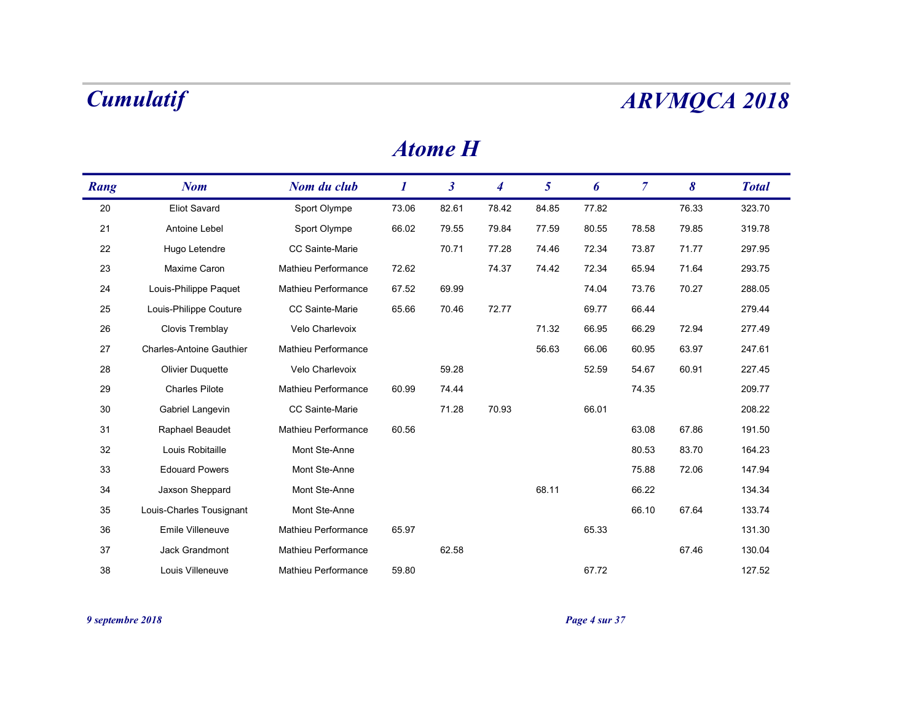|      | <b>Cumulatif</b>                |                     |                  |                      |                  |                 |       |                |       | <b>ARVMQCA 2018</b> |
|------|---------------------------------|---------------------|------------------|----------------------|------------------|-----------------|-------|----------------|-------|---------------------|
|      |                                 |                     |                  | <b>Atome H</b>       |                  |                 |       |                |       |                     |
| Rang | <b>Nom</b>                      | Nom du club         | $\boldsymbol{I}$ | $\boldsymbol{\beta}$ | $\boldsymbol{4}$ | $5\overline{)}$ | 6     | $\overline{7}$ | 8     | <b>Total</b>        |
| 20   | <b>Eliot Savard</b>             | Sport Olympe        | 73.06            | 82.61                | 78.42            | 84.85           | 77.82 |                | 76.33 | 323.70              |
| 21   | Antoine Lebel                   | Sport Olympe        | 66.02            | 79.55                | 79.84            | 77.59           | 80.55 | 78.58          | 79.85 | 319.78              |
| 22   | Hugo Letendre                   | CC Sainte-Marie     |                  | 70.71                | 77.28            | 74.46           | 72.34 | 73.87          | 71.77 | 297.95              |
| 23   | Maxime Caron                    | Mathieu Performance | 72.62            |                      | 74.37            | 74.42           | 72.34 | 65.94          | 71.64 | 293.75              |
| 24   | Louis-Philippe Paquet           | Mathieu Performance | 67.52            | 69.99                |                  |                 | 74.04 | 73.76          | 70.27 | 288.05              |
| 25   | Louis-Philippe Couture          | CC Sainte-Marie     | 65.66            | 70.46                | 72.77            |                 | 69.77 | 66.44          |       | 279.44              |
| 26   | Clovis Tremblay                 | Velo Charlevoix     |                  |                      |                  | 71.32           | 66.95 | 66.29          | 72.94 | 277.49              |
| 27   | <b>Charles-Antoine Gauthier</b> | Mathieu Performance |                  |                      |                  | 56.63           | 66.06 | 60.95          | 63.97 | 247.61              |
| 28   | <b>Olivier Duquette</b>         | Velo Charlevoix     |                  | 59.28                |                  |                 | 52.59 | 54.67          | 60.91 | 227.45              |
| 29   | <b>Charles Pilote</b>           | Mathieu Performance | 60.99            | 74.44                |                  |                 |       | 74.35          |       | 209.77              |
| 30   | Gabriel Langevin                | CC Sainte-Marie     |                  | 71.28                | 70.93            |                 | 66.01 |                |       | 208.22              |
| 31   | Raphael Beaudet                 | Mathieu Performance | 60.56            |                      |                  |                 |       | 63.08          | 67.86 | 191.50              |
| 32   | Louis Robitaille                | Mont Ste-Anne       |                  |                      |                  |                 |       | 80.53          | 83.70 | 164.23              |
| 33   | <b>Edouard Powers</b>           | Mont Ste-Anne       |                  |                      |                  |                 |       | 75.88          | 72.06 | 147.94              |
| 34   | Jaxson Sheppard                 | Mont Ste-Anne       |                  |                      |                  | 68.11           |       | 66.22          |       | 134.34              |
| 35   | Louis-Charles Tousignant        | Mont Ste-Anne       |                  |                      |                  |                 |       | 66.10          | 67.64 | 133.74              |
| 36   | Emile Villeneuve                | Mathieu Performance | 65.97            |                      |                  |                 | 65.33 |                |       | 131.30              |
|      | Jack Grandmont                  | Mathieu Performance |                  | 62.58                |                  |                 |       |                | 67.46 | 130.04              |
| 37   |                                 |                     |                  |                      |                  |                 |       |                |       |                     |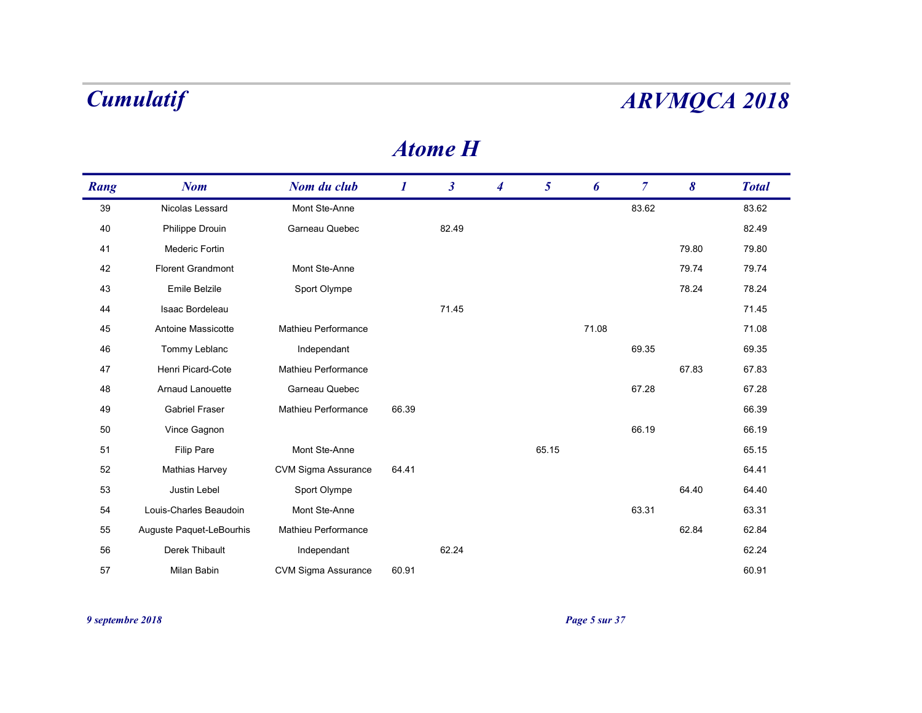|      | <b>Cumulatif</b>         |                     |                  |                      |                  |                 |       |                | <b>ARVMQCA 2018</b> |              |
|------|--------------------------|---------------------|------------------|----------------------|------------------|-----------------|-------|----------------|---------------------|--------------|
|      |                          |                     |                  | <b>Atome H</b>       |                  |                 |       |                |                     |              |
| Rang | <b>Nom</b>               | Nom du club         | $\boldsymbol{I}$ | $\boldsymbol{\beta}$ | $\boldsymbol{4}$ | $5\overline{)}$ | 6     | $\overline{7}$ | 8                   | <b>Total</b> |
| 39   | Nicolas Lessard          | Mont Ste-Anne       |                  |                      |                  |                 |       | 83.62          |                     | 83.62        |
| 40   | Philippe Drouin          | Garneau Quebec      |                  | 82.49                |                  |                 |       |                |                     | 82.49        |
| 41   | Mederic Fortin           |                     |                  |                      |                  |                 |       |                | 79.80               | 79.80        |
| 42   | <b>Florent Grandmont</b> | Mont Ste-Anne       |                  |                      |                  |                 |       |                | 79.74               | 79.74        |
| 43   | Emile Belzile            | Sport Olympe        |                  |                      |                  |                 |       |                | 78.24               | 78.24        |
| 44   | Isaac Bordeleau          |                     |                  | 71.45                |                  |                 |       |                |                     | 71.45        |
| 45   | Antoine Massicotte       | Mathieu Performance |                  |                      |                  |                 | 71.08 |                |                     | 71.08        |
| 46   | Tommy Leblanc            | Independant         |                  |                      |                  |                 |       | 69.35          |                     | 69.35        |
| 47   | Henri Picard-Cote        | Mathieu Performance |                  |                      |                  |                 |       |                | 67.83               | 67.83        |
| 48   | Arnaud Lanouette         | Garneau Quebec      |                  |                      |                  |                 |       | 67.28          |                     | 67.28        |
| 49   | <b>Gabriel Fraser</b>    | Mathieu Performance | 66.39            |                      |                  |                 |       |                |                     | 66.39        |
| 50   | Vince Gagnon             |                     |                  |                      |                  |                 |       | 66.19          |                     | 66.19        |
| 51   | <b>Filip Pare</b>        | Mont Ste-Anne       |                  |                      |                  | 65.15           |       |                |                     | 65.15        |
| 52   | <b>Mathias Harvey</b>    | CVM Sigma Assurance | 64.41            |                      |                  |                 |       |                |                     | 64.41        |
| 53   | Justin Lebel             | Sport Olympe        |                  |                      |                  |                 |       |                | 64.40               | 64.40        |
| 54   | Louis-Charles Beaudoin   | Mont Ste-Anne       |                  |                      |                  |                 |       | 63.31          |                     | 63.31        |
| 55   | Auguste Paquet-LeBourhis | Mathieu Performance |                  |                      |                  |                 |       |                | 62.84               | 62.84        |
|      |                          |                     |                  | 62.24                |                  |                 |       |                |                     | 62.24        |
| 56   | Derek Thibault           | Independant         |                  |                      |                  |                 |       |                |                     |              |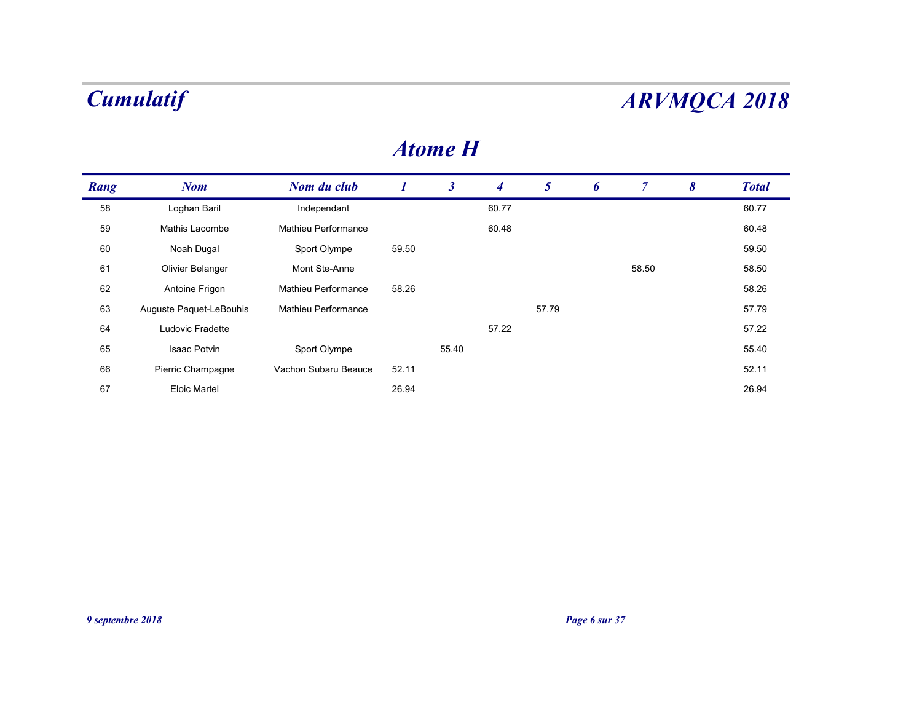|                  | <b>Cumulatif</b>        |                      |                  |                      |                |                 |               |                |                       | <b>ARVMQCA 2018</b> |
|------------------|-------------------------|----------------------|------------------|----------------------|----------------|-----------------|---------------|----------------|-----------------------|---------------------|
|                  |                         |                      |                  | <b>Atome H</b>       |                |                 |               |                |                       |                     |
| Rang             | <b>Nom</b>              | Nom du club          | $\boldsymbol{I}$ | $\boldsymbol{\beta}$ | $\overline{4}$ | $5\overline{)}$ | 6             | $\overline{7}$ | $\boldsymbol{\delta}$ | <b>Total</b>        |
| 58               | Loghan Baril            | Independant          |                  |                      | 60.77          |                 |               |                |                       | 60.77               |
| 59               | Mathis Lacombe          | Mathieu Performance  |                  |                      | 60.48          |                 |               |                |                       | 60.48               |
| 60               | Noah Dugal              | Sport Olympe         | 59.50            |                      |                |                 |               |                |                       | 59.50               |
| 61               | Olivier Belanger        | Mont Ste-Anne        |                  |                      |                |                 |               | 58.50          |                       | 58.50               |
| 62               | Antoine Frigon          | Mathieu Performance  | 58.26            |                      |                |                 |               |                |                       | 58.26               |
| 63               | Auguste Paquet-LeBouhis | Mathieu Performance  |                  |                      |                | 57.79           |               |                |                       | 57.79               |
| 64               | Ludovic Fradette        |                      |                  |                      | 57.22          |                 |               |                |                       | 57.22               |
| 65               | Isaac Potvin            | Sport Olympe         |                  | 55.40                |                |                 |               |                |                       | 55.40               |
| 66               | Pierric Champagne       | Vachon Subaru Beauce | 52.11            |                      |                |                 |               |                |                       | 52.11               |
| 67               | <b>Eloic Martel</b>     |                      | 26.94            |                      |                |                 |               |                |                       | 26.94               |
|                  |                         |                      |                  |                      |                |                 |               |                |                       |                     |
|                  |                         |                      |                  |                      |                |                 |               |                |                       |                     |
|                  |                         |                      |                  |                      |                |                 |               |                |                       |                     |
|                  |                         |                      |                  |                      |                |                 |               |                |                       |                     |
|                  |                         |                      |                  |                      |                |                 |               |                |                       |                     |
| 9 septembre 2018 |                         |                      |                  |                      |                |                 | Page 6 sur 37 |                |                       |                     |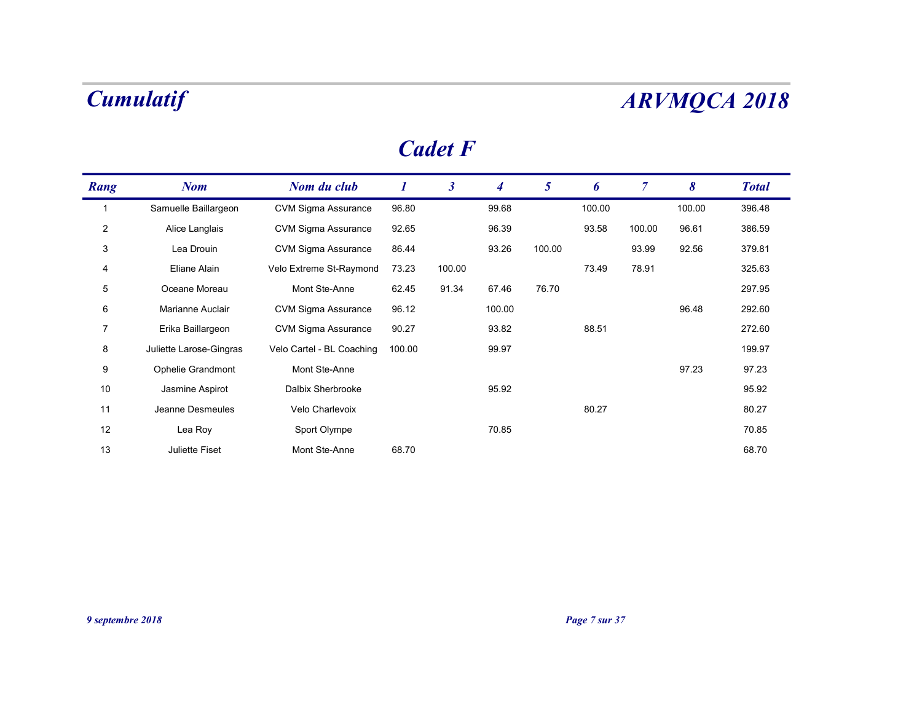### Cadet F

|                | <b>Cumulatif</b>        |                            |                  |                      |                  |                |        |                |        | <b>ARVMQCA 2018</b> |
|----------------|-------------------------|----------------------------|------------------|----------------------|------------------|----------------|--------|----------------|--------|---------------------|
|                |                         |                            |                  | <b>Cadet F</b>       |                  |                |        |                |        |                     |
| Rang           | <b>Nom</b>              | Nom du club                | $\boldsymbol{I}$ | $\boldsymbol{\beta}$ | $\boldsymbol{4}$ | 5 <sup>5</sup> | 6      | $\overline{7}$ | 8      | <b>Total</b>        |
| $\overline{1}$ | Samuelle Baillargeon    | <b>CVM Sigma Assurance</b> | 96.80            |                      | 99.68            |                | 100.00 |                | 100.00 | 396.48              |
| $\overline{2}$ | Alice Langlais          | <b>CVM Sigma Assurance</b> | 92.65            |                      | 96.39            |                | 93.58  | 100.00         | 96.61  | 386.59              |
| 3              | Lea Drouin              | <b>CVM Sigma Assurance</b> | 86.44            |                      | 93.26            | 100.00         |        | 93.99          | 92.56  | 379.81              |
| 4              | Eliane Alain            | Velo Extreme St-Raymond    | 73.23            | 100.00               |                  |                | 73.49  | 78.91          |        | 325.63              |
| 5              | Oceane Moreau           | Mont Ste-Anne              | 62.45            | 91.34                | 67.46            | 76.70          |        |                |        | 297.95              |
| 6              | Marianne Auclair        | <b>CVM Sigma Assurance</b> | 96.12            |                      | 100.00           |                |        |                | 96.48  | 292.60              |
| $\overline{7}$ | Erika Baillargeon       | <b>CVM Sigma Assurance</b> | 90.27            |                      | 93.82            |                | 88.51  |                |        | 272.60              |
| 8              | Juliette Larose-Gingras | Velo Cartel - BL Coaching  | 100.00           |                      | 99.97            |                |        |                |        | 199.97              |
| 9              | Ophelie Grandmont       | Mont Ste-Anne              |                  |                      |                  |                |        |                | 97.23  | 97.23               |
| 10             | Jasmine Aspirot         | Dalbix Sherbrooke          |                  |                      | 95.92            |                |        |                |        | 95.92               |
| 11             | Jeanne Desmeules        | Velo Charlevoix            |                  |                      |                  |                | 80.27  |                |        | 80.27               |
| 12             | Lea Roy                 | Sport Olympe               |                  |                      | 70.85            |                |        |                |        | 70.85               |
| 13             | Juliette Fiset          | Mont Ste-Anne              | 68.70            |                      |                  |                |        |                |        | 68.70               |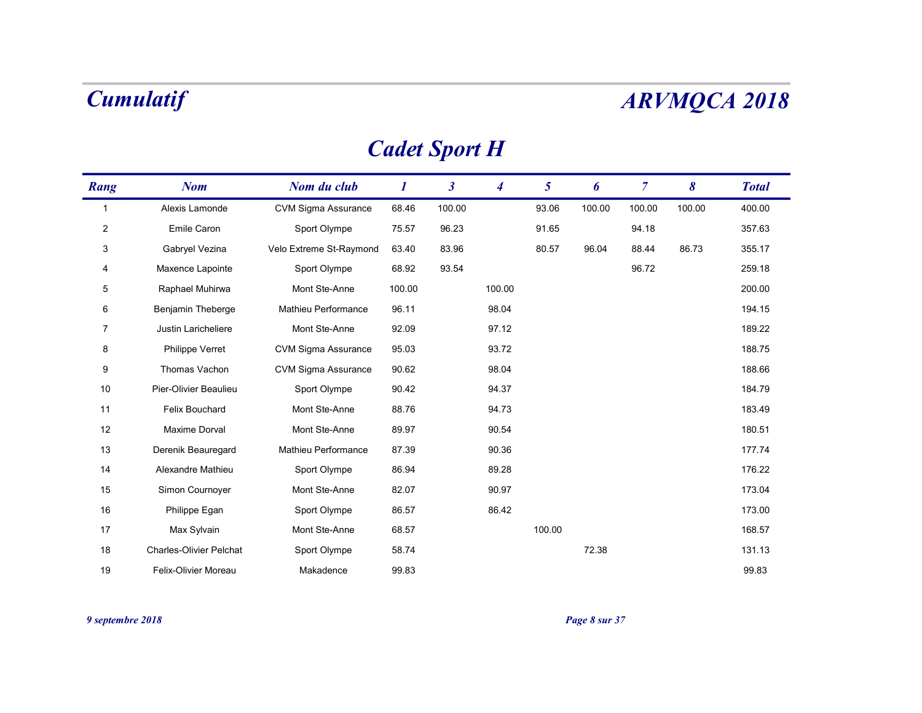# Cadet Sport H

|                 | <b>Cumulatif</b>               |                            |                  |                      |                  |                 |        |                |        | <b>ARVMQCA 2018</b> |
|-----------------|--------------------------------|----------------------------|------------------|----------------------|------------------|-----------------|--------|----------------|--------|---------------------|
|                 |                                |                            |                  | <b>Cadet Sport H</b> |                  |                 |        |                |        |                     |
| Rang            | <b>Nom</b>                     | Nom du club                | $\boldsymbol{I}$ | $\boldsymbol{\beta}$ | $\boldsymbol{4}$ | $5\overline{)}$ | 6      | $\overline{7}$ | 8      | <b>Total</b>        |
| $\overline{1}$  | Alexis Lamonde                 | <b>CVM Sigma Assurance</b> | 68.46            | 100.00               |                  | 93.06           | 100.00 | 100.00         | 100.00 | 400.00              |
| $\overline{2}$  | Emile Caron                    | Sport Olympe               | 75.57            | 96.23                |                  | 91.65           |        | 94.18          |        | 357.63              |
| 3               | Gabryel Vezina                 | Velo Extreme St-Raymond    | 63.40            | 83.96                |                  | 80.57           | 96.04  | 88.44          | 86.73  | 355.17              |
| 4               | Maxence Lapointe               | Sport Olympe               | 68.92            | 93.54                |                  |                 |        | 96.72          |        | 259.18              |
| $5\phantom{.0}$ | Raphael Muhirwa                | Mont Ste-Anne              | 100.00           |                      | 100.00           |                 |        |                |        | 200.00              |
| 6               | Benjamin Theberge              | Mathieu Performance        | 96.11            |                      | 98.04            |                 |        |                |        | 194.15              |
| 7               | Justin Laricheliere            | Mont Ste-Anne              | 92.09            |                      | 97.12            |                 |        |                |        | 189.22              |
| 8               | Philippe Verret                | <b>CVM Sigma Assurance</b> | 95.03            |                      | 93.72            |                 |        |                |        | 188.75              |
| 9               | Thomas Vachon                  | <b>CVM Sigma Assurance</b> | 90.62            |                      | 98.04            |                 |        |                |        | 188.66              |
| 10              | Pier-Olivier Beaulieu          | Sport Olympe               | 90.42            |                      | 94.37            |                 |        |                |        | 184.79              |
| 11              | Felix Bouchard                 | Mont Ste-Anne              | 88.76            |                      | 94.73            |                 |        |                |        | 183.49              |
| 12              | Maxime Dorval                  | Mont Ste-Anne              | 89.97            |                      | 90.54            |                 |        |                |        | 180.51              |
| 13              | Derenik Beauregard             | Mathieu Performance        | 87.39            |                      | 90.36            |                 |        |                |        | 177.74              |
| 14              | Alexandre Mathieu              | Sport Olympe               | 86.94            |                      | 89.28            |                 |        |                |        | 176.22              |
| 15              | Simon Cournoyer                | Mont Ste-Anne              | 82.07            |                      | 90.97            |                 |        |                |        | 173.04              |
| 16              | Philippe Egan                  | Sport Olympe               | 86.57            |                      | 86.42            |                 |        |                |        | 173.00              |
| 17              | Max Sylvain                    | Mont Ste-Anne              | 68.57            |                      |                  | 100.00          |        |                |        | 168.57              |
| 18              | <b>Charles-Olivier Pelchat</b> | Sport Olympe               | 58.74            |                      |                  |                 | 72.38  |                |        | 131.13              |
| 19              | Felix-Olivier Moreau           | Makadence                  | 99.83            |                      |                  |                 |        |                |        | 99.83               |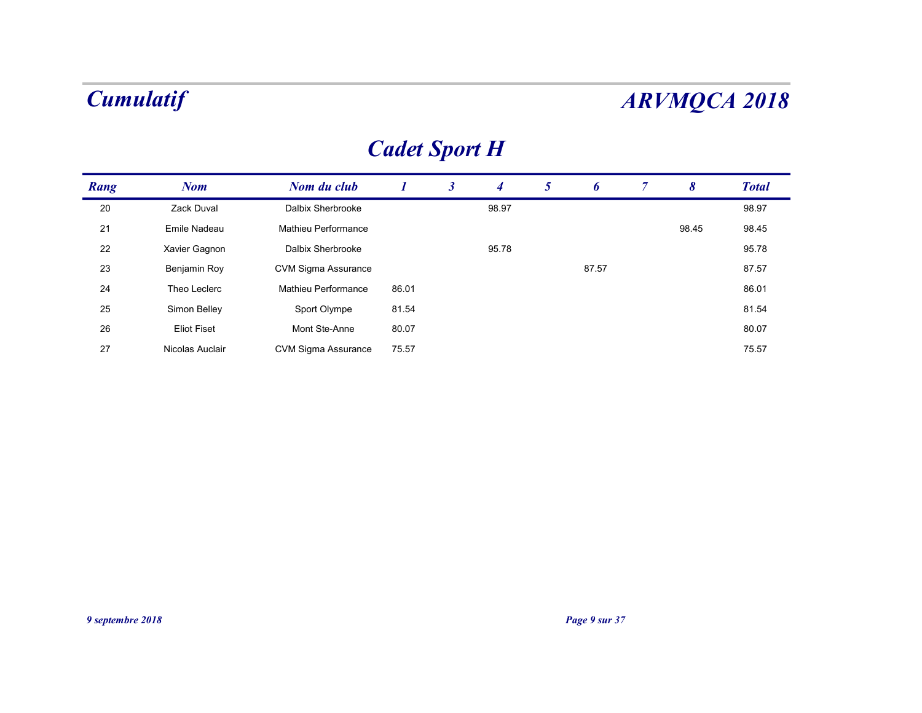## Cadet Sport H

|                  |                    |                            |                      |                      |                |                |               |                |                       | <b>ARVMQCA 2018</b> |
|------------------|--------------------|----------------------------|----------------------|----------------------|----------------|----------------|---------------|----------------|-----------------------|---------------------|
|                  |                    |                            | <b>Cadet Sport H</b> |                      |                |                |               |                |                       |                     |
| Rang             | <b>Nom</b>         | Nom du club                | $\boldsymbol{I}$     | $\boldsymbol{\beta}$ | $\overline{4}$ | 5 <sup>5</sup> | 6             | $\overline{7}$ | $\boldsymbol{\delta}$ | <b>Total</b>        |
| $20\,$           | Zack Duval         | Dalbix Sherbrooke          |                      |                      | 98.97          |                |               |                |                       | 98.97               |
| 21               | Emile Nadeau       | Mathieu Performance        |                      |                      |                |                |               |                | 98.45                 | 98.45               |
| 22               | Xavier Gagnon      | Dalbix Sherbrooke          |                      |                      | 95.78          |                |               |                |                       | 95.78               |
| 23               | Benjamin Roy       | CVM Sigma Assurance        |                      |                      |                |                | 87.57         |                |                       | 87.57               |
| 24               | Theo Leclerc       | Mathieu Performance        | 86.01                |                      |                |                |               |                |                       | 86.01               |
| 25               | Simon Belley       | Sport Olympe               | 81.54                |                      |                |                |               |                |                       | 81.54               |
| $26\,$           | <b>Eliot Fiset</b> | Mont Ste-Anne              | 80.07                |                      |                |                |               |                |                       | 80.07               |
| 27               | Nicolas Auclair    | <b>CVM Sigma Assurance</b> | 75.57                |                      |                |                |               |                |                       | 75.57               |
|                  |                    |                            |                      |                      |                |                |               |                |                       |                     |
|                  |                    |                            |                      |                      |                |                |               |                |                       |                     |
|                  |                    |                            |                      |                      |                |                |               |                |                       |                     |
|                  |                    |                            |                      |                      |                |                |               |                |                       |                     |
|                  |                    |                            |                      |                      |                |                |               |                |                       |                     |
|                  |                    |                            |                      |                      |                |                |               |                |                       |                     |
|                  |                    |                            |                      |                      |                |                |               |                |                       |                     |
|                  |                    |                            |                      |                      |                |                |               |                |                       |                     |
|                  |                    |                            |                      |                      |                |                |               |                |                       |                     |
|                  |                    |                            |                      |                      |                |                |               |                |                       |                     |
|                  |                    |                            |                      |                      |                |                |               |                |                       |                     |
| 9 septembre 2018 |                    |                            |                      |                      |                |                | Page 9 sur 37 |                |                       |                     |
|                  |                    |                            |                      |                      |                |                |               |                |                       |                     |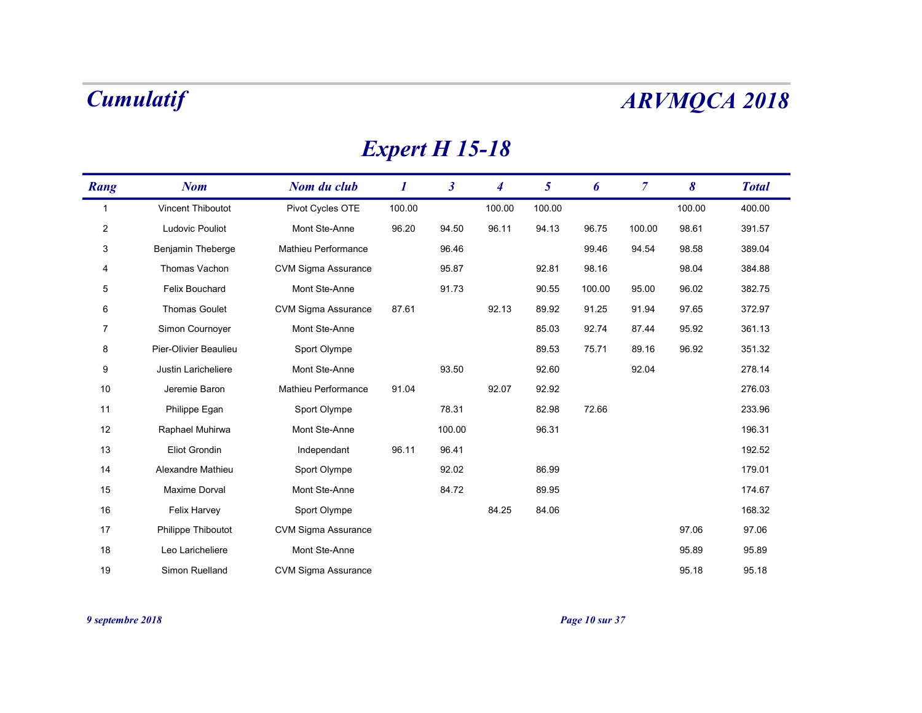## Expert H 15-18

|                | <b>Cumulatif</b>      |                            |                       |                      |                  |                |        |                |        | <b>ARVMQCA 2018</b> |
|----------------|-----------------------|----------------------------|-----------------------|----------------------|------------------|----------------|--------|----------------|--------|---------------------|
|                |                       |                            | <b>Expert H 15-18</b> |                      |                  |                |        |                |        |                     |
| Rang           | <b>Nom</b>            | Nom du club                | $\boldsymbol{I}$      | $\boldsymbol{\beta}$ | $\boldsymbol{4}$ | 5 <sup>5</sup> | 6      | $\overline{7}$ | 8      | <b>Total</b>        |
| $\overline{1}$ | Vincent Thiboutot     | Pivot Cycles OTE           | 100.00                |                      | 100.00           | 100.00         |        |                | 100.00 | 400.00              |
| $\overline{2}$ | Ludovic Pouliot       | Mont Ste-Anne              | 96.20                 | 94.50                | 96.11            | 94.13          | 96.75  | 100.00         | 98.61  | 391.57              |
| 3              | Benjamin Theberge     | Mathieu Performance        |                       | 96.46                |                  |                | 99.46  | 94.54          | 98.58  | 389.04              |
| 4              | Thomas Vachon         | <b>CVM Sigma Assurance</b> |                       | 95.87                |                  | 92.81          | 98.16  |                | 98.04  | 384.88              |
| 5              | Felix Bouchard        | Mont Ste-Anne              |                       | 91.73                |                  | 90.55          | 100.00 | 95.00          | 96.02  | 382.75              |
| 6              | <b>Thomas Goulet</b>  | <b>CVM Sigma Assurance</b> | 87.61                 |                      | 92.13            | 89.92          | 91.25  | 91.94          | 97.65  | 372.97              |
| 7              | Simon Cournoyer       | Mont Ste-Anne              |                       |                      |                  | 85.03          | 92.74  | 87.44          | 95.92  | 361.13              |
| 8              | Pier-Olivier Beaulieu | Sport Olympe               |                       |                      |                  | 89.53          | 75.71  | 89.16          | 96.92  | 351.32              |
| 9              | Justin Laricheliere   | Mont Ste-Anne              |                       | 93.50                |                  | 92.60          |        | 92.04          |        | 278.14              |
| 10             | Jeremie Baron         | Mathieu Performance        | 91.04                 |                      | 92.07            | 92.92          |        |                |        | 276.03              |
| 11             | Philippe Egan         | Sport Olympe               |                       | 78.31                |                  | 82.98          | 72.66  |                |        | 233.96              |
| $12$           | Raphael Muhirwa       | Mont Ste-Anne              |                       | 100.00               |                  | 96.31          |        |                |        | 196.31              |
| 13             | Eliot Grondin         | Independant                | 96.11                 | 96.41                |                  |                |        |                |        | 192.52              |
| 14             | Alexandre Mathieu     | Sport Olympe               |                       | 92.02                |                  | 86.99          |        |                |        | 179.01              |
| 15             | Maxime Dorval         | Mont Ste-Anne              |                       | 84.72                |                  | 89.95          |        |                |        | 174.67              |
| 16             | Felix Harvey          | Sport Olympe               |                       |                      | 84.25            | 84.06          |        |                |        | 168.32              |
| 17             | Philippe Thiboutot    | CVM Sigma Assurance        |                       |                      |                  |                |        |                | 97.06  | 97.06               |
| 18             | Leo Laricheliere      | Mont Ste-Anne              |                       |                      |                  |                |        |                | 95.89  | 95.89               |
|                | Simon Ruelland        | <b>CVM Sigma Assurance</b> |                       |                      |                  |                |        |                | 95.18  | 95.18               |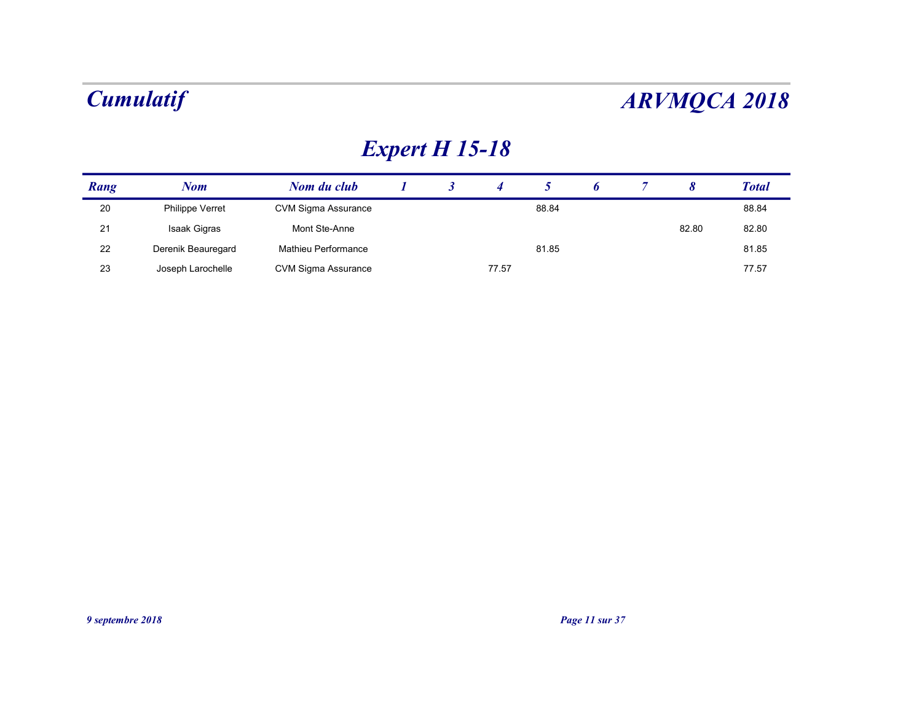## Expert H 15-18

|      | <b>Cumulatif</b>   |                            |          |                       |                |                |   |                |                       | <b>ARVMQCA 2018</b> |
|------|--------------------|----------------------------|----------|-----------------------|----------------|----------------|---|----------------|-----------------------|---------------------|
|      |                    |                            |          | <b>Expert H 15-18</b> |                |                |   |                |                       |                     |
| Rang | <b>Nom</b>         | Nom du club                | $\bm{l}$ | $\mathbf{3}$          | $\overline{4}$ | 5 <sup>5</sup> | 6 | $\overline{7}$ | $\boldsymbol{\delta}$ | <b>Total</b>        |
| 20   | Philippe Verret    | <b>CVM Sigma Assurance</b> |          |                       |                | 88.84          |   |                |                       | 88.84               |
| 21   | Isaak Gigras       | Mont Ste-Anne              |          |                       |                |                |   |                | 82.80                 | 82.80               |
|      | Derenik Beauregard | Mathieu Performance        |          |                       |                | 81.85          |   |                |                       | 81.85               |
| 22   |                    |                            |          |                       |                |                |   |                |                       | 77.57               |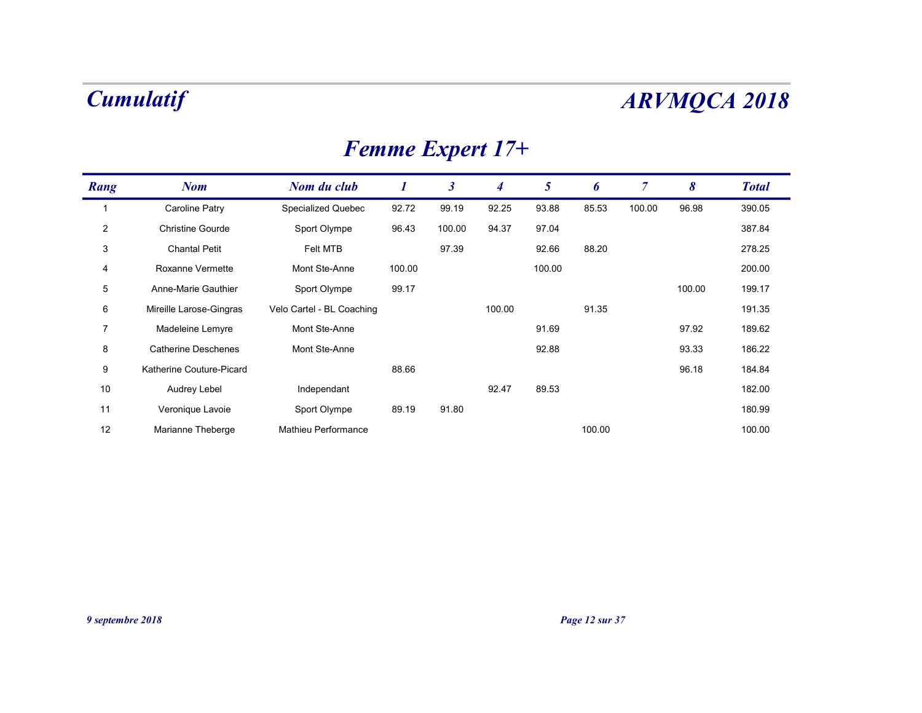| <b>Femme Expert 17+</b> |  |
|-------------------------|--|
|-------------------------|--|

| <b>Femme Expert 17+</b><br>Rang<br><b>Nom</b><br>Nom du club<br>$\bm{l}$<br><b>Caroline Patry</b><br>Specialized Quebec<br>92.72<br>$\overline{1}$<br>Christine Gourde<br>$\overline{2}$<br>Sport Olympe<br>96.43<br><b>Chantal Petit</b><br>3<br>Felt MTB<br>Roxanne Vermette<br>Mont Ste-Anne<br>100.00<br>4<br>Anne-Marie Gauthier<br>99.17<br>$5\phantom{.0}$<br>Sport Olympe<br>Velo Cartel - BL Coaching<br>Mireille Larose-Gingras<br>6<br>Madeleine Lemyre<br>$\overline{7}$<br>Mont Ste-Anne | $\boldsymbol{\beta}$<br>99.19<br>100.00<br>97.39 | $\overline{4}$<br>92.25<br>94.37 | $\mathfrak{H}$<br>93.88 | 6<br>85.53 | $\overline{7}$ |        |              |
|-------------------------------------------------------------------------------------------------------------------------------------------------------------------------------------------------------------------------------------------------------------------------------------------------------------------------------------------------------------------------------------------------------------------------------------------------------------------------------------------------------|--------------------------------------------------|----------------------------------|-------------------------|------------|----------------|--------|--------------|
|                                                                                                                                                                                                                                                                                                                                                                                                                                                                                                       |                                                  |                                  |                         |            |                |        |              |
|                                                                                                                                                                                                                                                                                                                                                                                                                                                                                                       |                                                  |                                  |                         |            |                | 8      | <b>Total</b> |
|                                                                                                                                                                                                                                                                                                                                                                                                                                                                                                       |                                                  |                                  |                         |            | 100.00         | 96.98  | 390.05       |
|                                                                                                                                                                                                                                                                                                                                                                                                                                                                                                       |                                                  |                                  | 97.04                   |            |                |        | 387.84       |
|                                                                                                                                                                                                                                                                                                                                                                                                                                                                                                       |                                                  |                                  | 92.66                   | 88.20      |                |        | 278.25       |
|                                                                                                                                                                                                                                                                                                                                                                                                                                                                                                       |                                                  |                                  | 100.00                  |            |                |        | 200.00       |
|                                                                                                                                                                                                                                                                                                                                                                                                                                                                                                       |                                                  |                                  |                         |            |                | 100.00 | 199.17       |
|                                                                                                                                                                                                                                                                                                                                                                                                                                                                                                       |                                                  | 100.00                           |                         | 91.35      |                |        | 191.35       |
|                                                                                                                                                                                                                                                                                                                                                                                                                                                                                                       |                                                  |                                  | 91.69                   |            |                | 97.92  | 189.62       |
| <b>Catherine Deschenes</b><br>Mont Ste-Anne<br>8                                                                                                                                                                                                                                                                                                                                                                                                                                                      |                                                  |                                  | 92.88                   |            |                | 93.33  | 186.22       |
| Katherine Couture-Picard<br>88.66<br>9                                                                                                                                                                                                                                                                                                                                                                                                                                                                |                                                  |                                  |                         |            |                | 96.18  | 184.84       |
| 10<br>Audrey Lebel<br>Independant                                                                                                                                                                                                                                                                                                                                                                                                                                                                     |                                                  | 92.47                            | 89.53                   |            |                |        | 182.00       |
| Sport Olympe<br>Veronique Lavoie<br>89.19<br>11                                                                                                                                                                                                                                                                                                                                                                                                                                                       | 91.80                                            |                                  |                         |            |                |        | 180.99       |
| 12<br>Marianne Theberge<br>Mathieu Performance                                                                                                                                                                                                                                                                                                                                                                                                                                                        |                                                  |                                  |                         | 100.00     |                |        | 100.00       |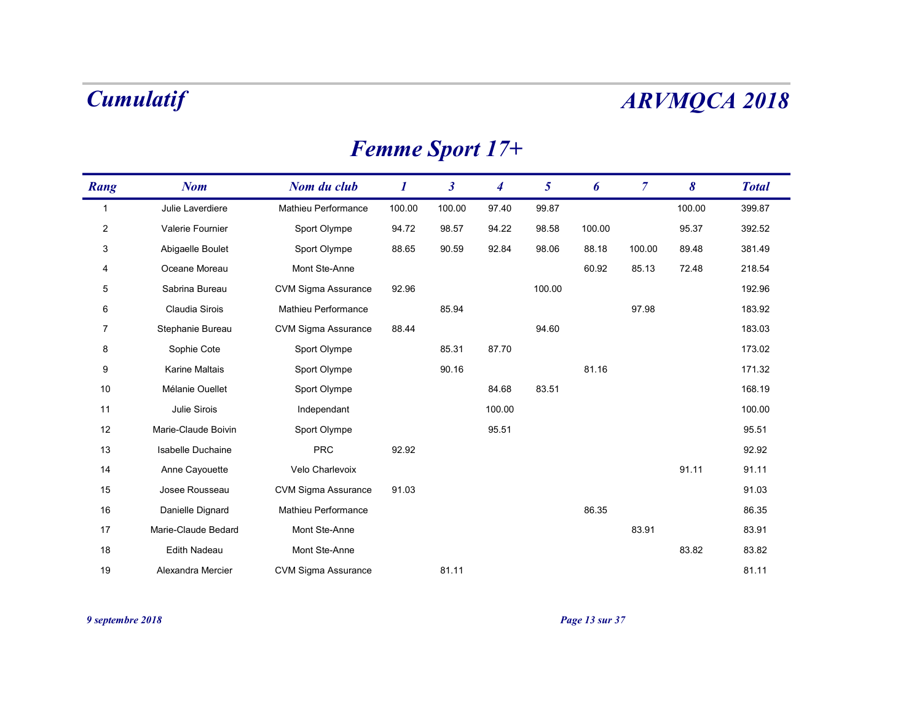# Femme Sport 17+

|                | <b>Cumulatif</b>    |                            |                        |                      |                  |                 |        |                |        | <b>ARVMQCA 2018</b> |
|----------------|---------------------|----------------------------|------------------------|----------------------|------------------|-----------------|--------|----------------|--------|---------------------|
|                |                     |                            | <b>Femme Sport 17+</b> |                      |                  |                 |        |                |        |                     |
| Rang           | <b>Nom</b>          | Nom du club                | $\boldsymbol{I}$       | $\boldsymbol{\beta}$ | $\boldsymbol{4}$ | $5\overline{)}$ | 6      | $\overline{7}$ | 8      | <b>Total</b>        |
| $\overline{1}$ | Julie Laverdiere    | Mathieu Performance        | 100.00                 | 100.00               | 97.40            | 99.87           |        |                | 100.00 | 399.87              |
| $\overline{2}$ | Valerie Fournier    | Sport Olympe               | 94.72                  | 98.57                | 94.22            | 98.58           | 100.00 |                | 95.37  | 392.52              |
| 3              | Abigaelle Boulet    | Sport Olympe               | 88.65                  | 90.59                | 92.84            | 98.06           | 88.18  | 100.00         | 89.48  | 381.49              |
| 4              | Oceane Moreau       | Mont Ste-Anne              |                        |                      |                  |                 | 60.92  | 85.13          | 72.48  | 218.54              |
| 5              | Sabrina Bureau      | <b>CVM Sigma Assurance</b> | 92.96                  |                      |                  | 100.00          |        |                |        | 192.96              |
| 6              | Claudia Sirois      | Mathieu Performance        |                        | 85.94                |                  |                 |        | 97.98          |        | 183.92              |
| 7              | Stephanie Bureau    | <b>CVM Sigma Assurance</b> | 88.44                  |                      |                  | 94.60           |        |                |        | 183.03              |
| 8              | Sophie Cote         | Sport Olympe               |                        | 85.31                | 87.70            |                 |        |                |        | 173.02              |
| 9              | Karine Maltais      | Sport Olympe               |                        | 90.16                |                  |                 | 81.16  |                |        | 171.32              |
| 10             | Mélanie Ouellet     | Sport Olympe               |                        |                      | 84.68            | 83.51           |        |                |        | 168.19              |
| 11             | Julie Sirois        | Independant                |                        |                      | 100.00           |                 |        |                |        | 100.00              |
| 12             | Marie-Claude Boivin | Sport Olympe               |                        |                      | 95.51            |                 |        |                |        | 95.51               |
| 13             | Isabelle Duchaine   | PRC                        | 92.92                  |                      |                  |                 |        |                |        | 92.92               |
| 14             | Anne Cayouette      | Velo Charlevoix            |                        |                      |                  |                 |        |                | 91.11  | 91.11               |
| 15             | Josee Rousseau      | <b>CVM Sigma Assurance</b> | 91.03                  |                      |                  |                 |        |                |        | 91.03               |
| 16             | Danielle Dignard    | Mathieu Performance        |                        |                      |                  |                 | 86.35  |                |        | 86.35               |
| 17             | Marie-Claude Bedard | Mont Ste-Anne              |                        |                      |                  |                 |        | 83.91          |        | 83.91               |
| 18             | Edith Nadeau        | Mont Ste-Anne              |                        |                      |                  |                 |        |                | 83.82  | 83.82               |
|                | Alexandra Mercier   | <b>CVM Sigma Assurance</b> |                        | 81.11                |                  |                 |        |                |        | 81.11               |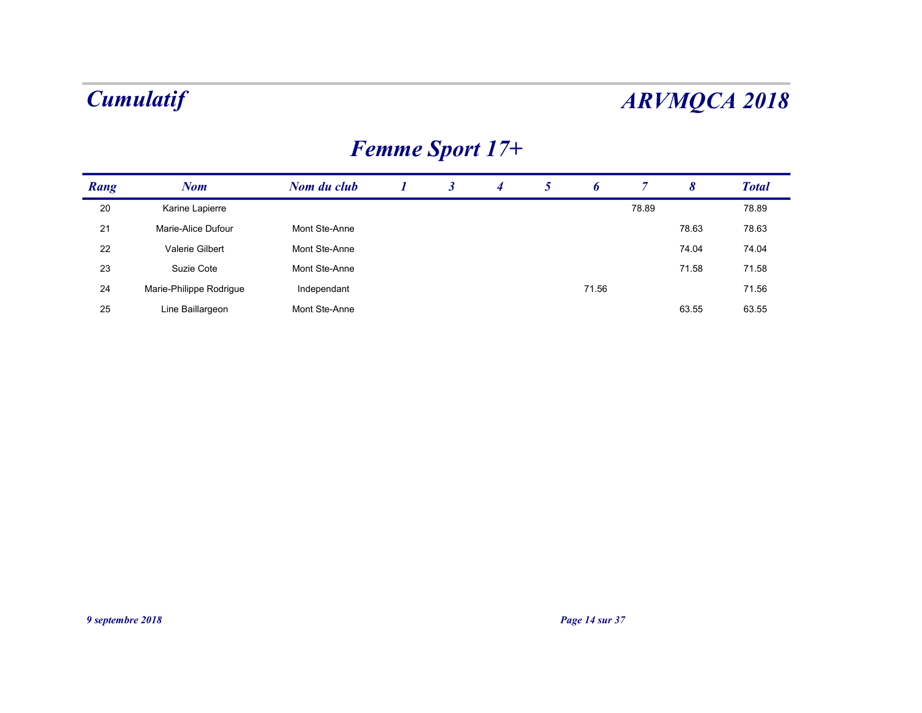## Femme Sport 17+

|      | <b>Cumulatif</b>        |               |                  |                      |                        |                 |       |                |                       | <b>ARVMQCA 2018</b> |
|------|-------------------------|---------------|------------------|----------------------|------------------------|-----------------|-------|----------------|-----------------------|---------------------|
|      |                         |               |                  |                      |                        |                 |       |                |                       |                     |
|      |                         |               |                  |                      | <b>Femme Sport 17+</b> |                 |       |                |                       |                     |
|      | <b>Nom</b>              | Nom du club   | $\boldsymbol{I}$ | $\boldsymbol{\beta}$ | $\overline{4}$         | $5\overline{)}$ | 6     | $\overline{7}$ | $\boldsymbol{\delta}$ | <b>Total</b>        |
| Rang |                         |               |                  |                      |                        |                 |       |                |                       |                     |
| 20   | Karine Lapierre         |               |                  |                      |                        |                 |       | 78.89          |                       | 78.89               |
| 21   | Marie-Alice Dufour      | Mont Ste-Anne |                  |                      |                        |                 |       |                | 78.63                 | 78.63               |
| 22   | Valerie Gilbert         | Mont Ste-Anne |                  |                      |                        |                 |       |                | 74.04                 | 74.04               |
| 23   | Suzie Cote              | Mont Ste-Anne |                  |                      |                        |                 |       |                | 71.58                 | 71.58               |
| 24   | Marie-Philippe Rodrigue | Independant   |                  |                      |                        |                 | 71.56 |                |                       | 71.56               |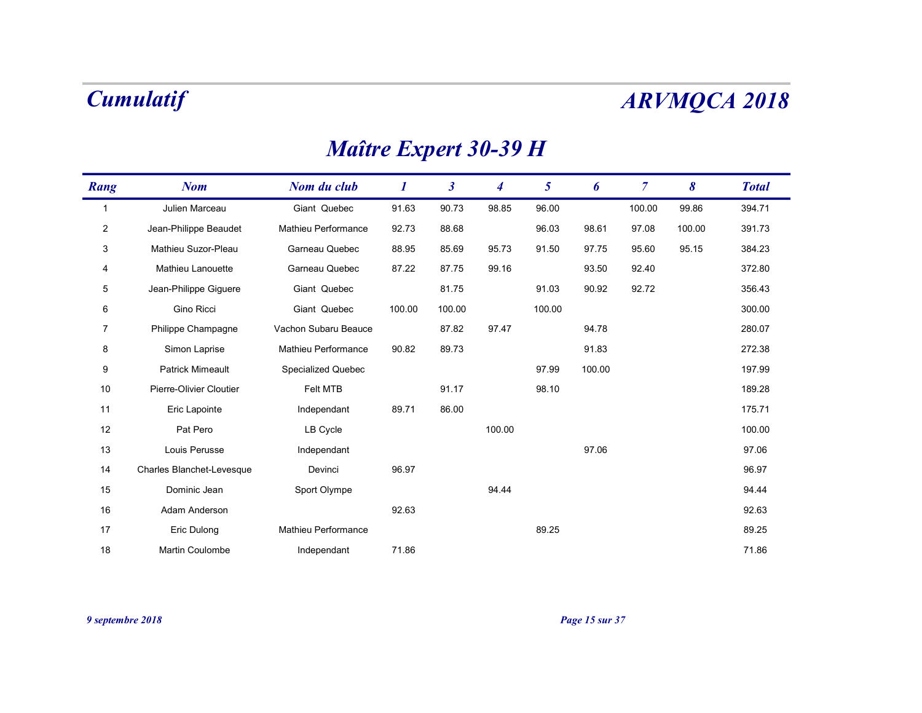## Maître Expert 30-39 H

|                | <b>Cumulatif</b>          |                              |                  |                      |                  |                |        |                |        | <b>ARVMQCA 2018</b> |
|----------------|---------------------------|------------------------------|------------------|----------------------|------------------|----------------|--------|----------------|--------|---------------------|
|                |                           | <b>Maître Expert 30-39 H</b> |                  |                      |                  |                |        |                |        |                     |
| Rang           | <b>Nom</b>                | Nom du club                  | $\boldsymbol{I}$ | $\boldsymbol{\beta}$ | $\boldsymbol{4}$ | 5 <sup>5</sup> | 6      | $\overline{7}$ | 8      | <b>Total</b>        |
| $\overline{1}$ | Julien Marceau            | Giant Quebec                 | 91.63            | 90.73                | 98.85            | 96.00          |        | 100.00         | 99.86  | 394.71              |
| $\overline{2}$ | Jean-Philippe Beaudet     | Mathieu Performance          | 92.73            | 88.68                |                  | 96.03          | 98.61  | 97.08          | 100.00 | 391.73              |
| 3              | Mathieu Suzor-Pleau       | Garneau Quebec               | 88.95            | 85.69                | 95.73            | 91.50          | 97.75  | 95.60          | 95.15  | 384.23              |
| 4              | Mathieu Lanouette         | Garneau Quebec               | 87.22            | 87.75                | 99.16            |                | 93.50  | 92.40          |        | 372.80              |
| 5              | Jean-Philippe Giguere     | Giant Quebec                 |                  | 81.75                |                  | 91.03          | 90.92  | 92.72          |        | 356.43              |
| 6              | Gino Ricci                | Giant Quebec                 | 100.00           | 100.00               |                  | 100.00         |        |                |        | 300.00              |
| $\overline{7}$ | Philippe Champagne        | Vachon Subaru Beauce         |                  | 87.82                | 97.47            |                | 94.78  |                |        | 280.07              |
| 8              | Simon Laprise             | Mathieu Performance          | 90.82            | 89.73                |                  |                | 91.83  |                |        | 272.38              |
| 9              | <b>Patrick Mimeault</b>   | Specialized Quebec           |                  |                      |                  | 97.99          | 100.00 |                |        | 197.99              |
| 10             | Pierre-Olivier Cloutier   | Felt MTB                     |                  | 91.17                |                  | 98.10          |        |                |        | 189.28              |
| 11             | Eric Lapointe             | Independant                  | 89.71            | 86.00                |                  |                |        |                |        | 175.71              |
| $12$           | Pat Pero                  | LB Cycle                     |                  |                      | 100.00           |                |        |                |        | 100.00              |
| 13             | Louis Perusse             | Independant                  |                  |                      |                  |                | 97.06  |                |        | 97.06               |
| 14             | Charles Blanchet-Levesque | Devinci                      | 96.97            |                      |                  |                |        |                |        | 96.97               |
| 15             | Dominic Jean              | Sport Olympe                 |                  |                      | 94.44            |                |        |                |        | 94.44               |
| 16             | Adam Anderson             |                              | 92.63            |                      |                  |                |        |                |        | 92.63               |
| 17             | Eric Dulong               | Mathieu Performance          |                  |                      |                  | 89.25          |        |                |        | 89.25               |
| 18             | Martin Coulombe           | Independant                  | 71.86            |                      |                  |                |        |                |        | 71.86               |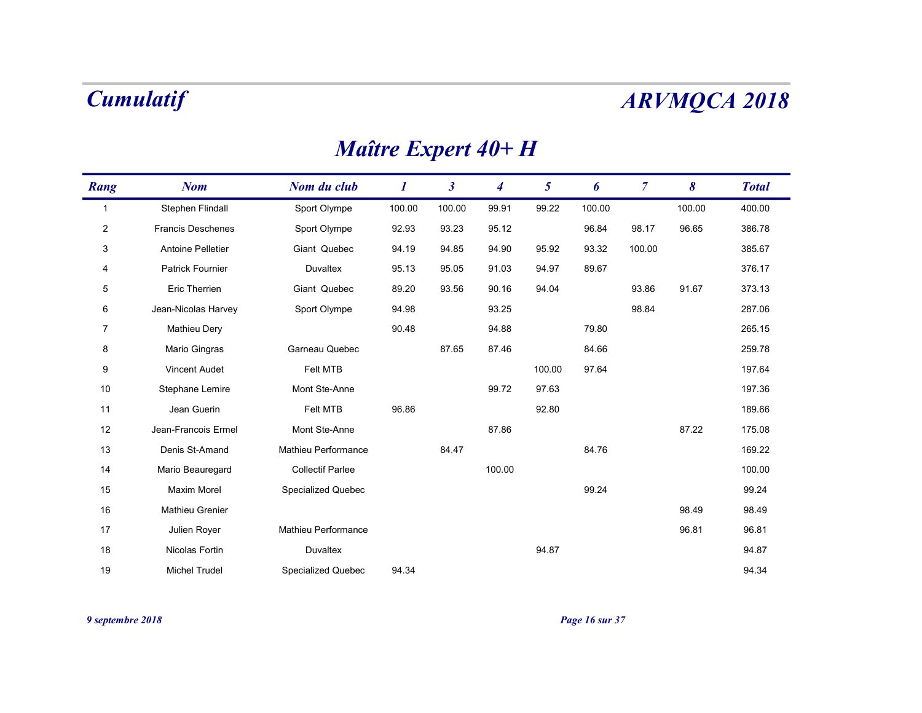## Maître Expert 40+ H

|                | <b>Cumulatif</b>         |                           |                     |                      |                  |                 |        |                |        | <b>ARVMQCA 2018</b> |
|----------------|--------------------------|---------------------------|---------------------|----------------------|------------------|-----------------|--------|----------------|--------|---------------------|
|                |                          |                           | Maître Expert 40+ H |                      |                  |                 |        |                |        |                     |
| Rang           | <b>Nom</b>               | Nom du club               | $\boldsymbol{I}$    | $\boldsymbol{\beta}$ | $\boldsymbol{4}$ | $5\overline{)}$ | 6      | $\overline{7}$ | 8      | <b>Total</b>        |
| $\overline{1}$ | Stephen Flindall         | Sport Olympe              | 100.00              | 100.00               | 99.91            | 99.22           | 100.00 |                | 100.00 | 400.00              |
| $\overline{2}$ | <b>Francis Deschenes</b> | Sport Olympe              | 92.93               | 93.23                | 95.12            |                 | 96.84  | 98.17          | 96.65  | 386.78              |
| 3              | Antoine Pelletier        | Giant Quebec              | 94.19               | 94.85                | 94.90            | 95.92           | 93.32  | 100.00         |        | 385.67              |
| 4              | Patrick Fournier         | Duvaltex                  | 95.13               | 95.05                | 91.03            | 94.97           | 89.67  |                |        | 376.17              |
| 5              | Eric Therrien            | Giant Quebec              | 89.20               | 93.56                | 90.16            | 94.04           |        | 93.86          | 91.67  | 373.13              |
| 6              | Jean-Nicolas Harvey      | Sport Olympe              | 94.98               |                      | 93.25            |                 |        | 98.84          |        | 287.06              |
| 7              | Mathieu Dery             |                           | 90.48               |                      | 94.88            |                 | 79.80  |                |        | 265.15              |
| 8              | Mario Gingras            | Garneau Quebec            |                     | 87.65                | 87.46            |                 | 84.66  |                |        | 259.78              |
| 9              | Vincent Audet            | Felt MTB                  |                     |                      |                  | 100.00          | 97.64  |                |        | 197.64              |
| 10             | Stephane Lemire          | Mont Ste-Anne             |                     |                      | 99.72            | 97.63           |        |                |        | 197.36              |
| 11             | Jean Guerin              | Felt MTB                  | 96.86               |                      |                  | 92.80           |        |                |        | 189.66              |
| 12             | Jean-Francois Ermel      | Mont Ste-Anne             |                     |                      | 87.86            |                 |        |                | 87.22  | 175.08              |
| 13             | Denis St-Amand           | Mathieu Performance       |                     | 84.47                |                  |                 | 84.76  |                |        | 169.22              |
| 14             | Mario Beauregard         | <b>Collectif Parlee</b>   |                     |                      | 100.00           |                 |        |                |        | 100.00              |
| 15             | Maxim Morel              | <b>Specialized Quebec</b> |                     |                      |                  |                 | 99.24  |                |        | 99.24               |
| 16             | Mathieu Grenier          |                           |                     |                      |                  |                 |        |                | 98.49  | 98.49               |
| 17             | Julien Royer             | Mathieu Performance       |                     |                      |                  |                 |        |                | 96.81  | 96.81               |
|                |                          |                           |                     |                      |                  | 94.87           |        |                |        | 94.87               |
| 18             | Nicolas Fortin           | Duvaltex                  |                     |                      |                  |                 |        |                |        |                     |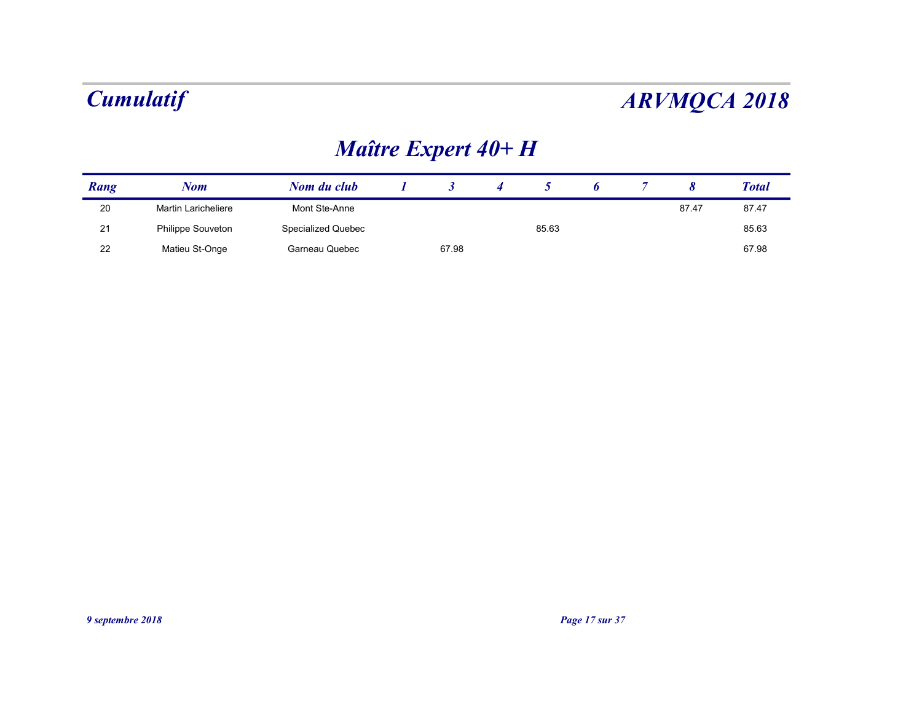## Maître Expert 40+ H

|      | <b>Cumulatif</b>    |                    |                      |                  |       |   |                |                       | <b>ARVMQCA 2018</b> |
|------|---------------------|--------------------|----------------------|------------------|-------|---|----------------|-----------------------|---------------------|
|      |                     |                    | Maître Expert 40+ H  |                  |       |   |                |                       |                     |
| Rang | <b>Nom</b>          | Nom du club        | $\boldsymbol{\beta}$ | $\boldsymbol{4}$ | 5     | 6 | $\overline{7}$ | $\boldsymbol{\delta}$ | <b>Total</b>        |
| 20   | Martin Laricheliere | Mont Ste-Anne      |                      |                  |       |   |                | 87.47                 | 87.47               |
|      | Philippe Souveton   | Specialized Quebec |                      |                  | 85.63 |   |                |                       | 85.63               |
| 21   |                     | Garneau Quebec     | 67.98                |                  |       |   |                |                       | 67.98               |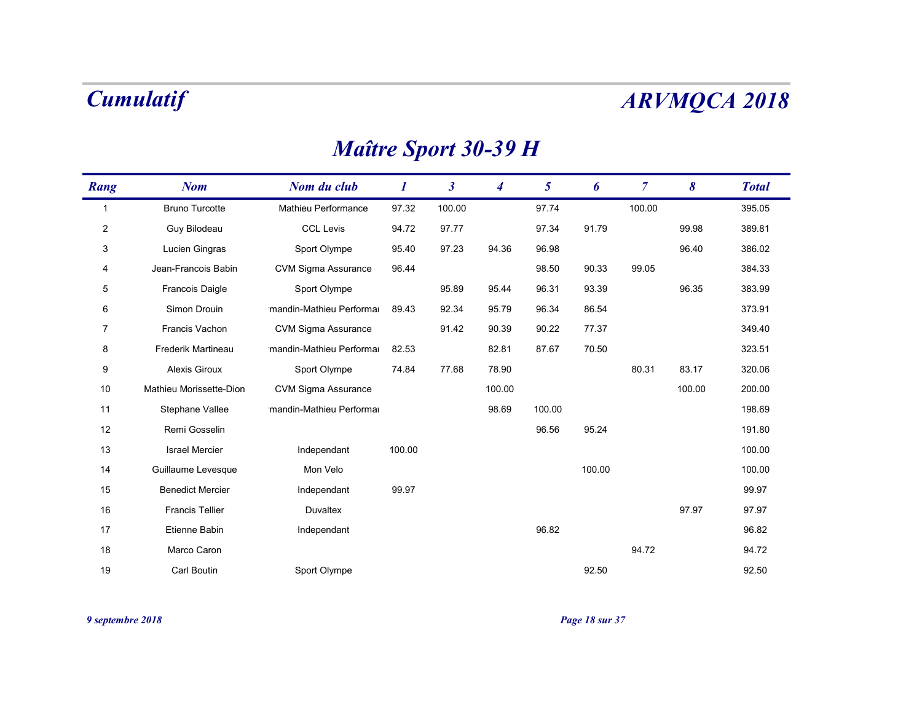## Maître Sport 30-39 H

|                | <b>Cumulatif</b>        |                             |                  |                      |                  |                 |        |                |        | <b>ARVMQCA 2018</b> |
|----------------|-------------------------|-----------------------------|------------------|----------------------|------------------|-----------------|--------|----------------|--------|---------------------|
|                |                         | <b>Maître Sport 30-39 H</b> |                  |                      |                  |                 |        |                |        |                     |
| Rang           | <b>Nom</b>              | Nom du club                 | $\boldsymbol{l}$ | $\boldsymbol{\beta}$ | $\boldsymbol{4}$ | $5\overline{)}$ | 6      | $\overline{7}$ | 8      | <b>Total</b>        |
| $\overline{1}$ | <b>Bruno Turcotte</b>   | Mathieu Performance         | 97.32            | 100.00               |                  | 97.74           |        | 100.00         |        | 395.05              |
| $\overline{2}$ | Guy Bilodeau            | <b>CCL Levis</b>            | 94.72            | 97.77                |                  | 97.34           | 91.79  |                | 99.98  | 389.81              |
| 3              | Lucien Gingras          | Sport Olympe                | 95.40            | 97.23                | 94.36            | 96.98           |        |                | 96.40  | 386.02              |
| 4              | Jean-Francois Babin     | <b>CVM Sigma Assurance</b>  | 96.44            |                      |                  | 98.50           | 90.33  | 99.05          |        | 384.33              |
| 5              | Francois Daigle         | Sport Olympe                |                  | 95.89                | 95.44            | 96.31           | 93.39  |                | 96.35  | 383.99              |
| 6              | Simon Drouin            | mandin-Mathieu Performa     | 89.43            | 92.34                | 95.79            | 96.34           | 86.54  |                |        | 373.91              |
| 7              | Francis Vachon          | <b>CVM Sigma Assurance</b>  |                  | 91.42                | 90.39            | 90.22           | 77.37  |                |        | 349.40              |
| 8              | Frederik Martineau      | mandin-Mathieu Performal    | 82.53            |                      | 82.81            | 87.67           | 70.50  |                |        | 323.51              |
| 9              | Alexis Giroux           | Sport Olympe                | 74.84            | 77.68                | 78.90            |                 |        | 80.31          | 83.17  | 320.06              |
| 10             | Mathieu Morissette-Dion | <b>CVM Sigma Assurance</b>  |                  |                      | 100.00           |                 |        |                | 100.00 | 200.00              |
| 11             | Stephane Vallee         | mandin-Mathieu Performal    |                  |                      | 98.69            | 100.00          |        |                |        | 198.69              |
| 12             | Remi Gosselin           |                             |                  |                      |                  | 96.56           | 95.24  |                |        | 191.80              |
| 13             | <b>Israel Mercier</b>   | Independant                 | 100.00           |                      |                  |                 |        |                |        | 100.00              |
| 14             | Guillaume Levesque      | Mon Velo                    |                  |                      |                  |                 | 100.00 |                |        | 100.00              |
| 15             | <b>Benedict Mercier</b> | Independant                 | 99.97            |                      |                  |                 |        |                |        | 99.97               |
| 16             | <b>Francis Tellier</b>  | Duvaltex                    |                  |                      |                  |                 |        |                | 97.97  | 97.97               |
| 17             | Etienne Babin           | Independant                 |                  |                      |                  | 96.82           |        |                |        | 96.82               |
|                |                         |                             |                  |                      |                  |                 |        | 94.72          |        | 94.72               |
| 18             | Marco Caron             |                             |                  |                      |                  |                 |        |                |        |                     |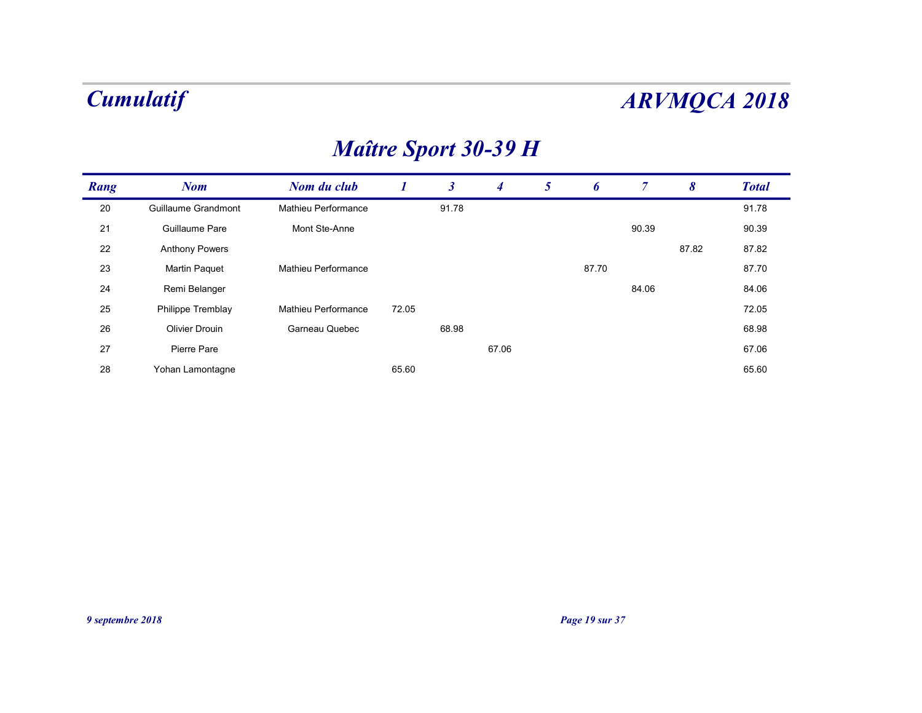## Maître Sport 30-39 H

|                  | <b>Cumulatif</b>      |                             |                  |                |                |                |                |                |                       | <b>ARVMQCA 2018</b> |
|------------------|-----------------------|-----------------------------|------------------|----------------|----------------|----------------|----------------|----------------|-----------------------|---------------------|
|                  |                       | <b>Maître Sport 30-39 H</b> |                  |                |                |                |                |                |                       |                     |
| Rang             | <b>Nom</b>            | Nom du club                 | $\boldsymbol{I}$ | 3 <sup>7</sup> | $\overline{4}$ | 5 <sup>5</sup> | 6              | $\overline{7}$ | $\boldsymbol{\delta}$ | <b>Total</b>        |
| 20               | Guillaume Grandmont   | Mathieu Performance         |                  | 91.78          |                |                |                |                |                       | 91.78               |
| 21               | Guillaume Pare        | Mont Ste-Anne               |                  |                |                |                |                | 90.39          |                       | 90.39               |
| 22               | <b>Anthony Powers</b> |                             |                  |                |                |                |                |                | 87.82                 | 87.82               |
| 23               | <b>Martin Paquet</b>  | Mathieu Performance         |                  |                |                |                | 87.70          |                |                       | 87.70               |
| 24               | Remi Belanger         |                             |                  |                |                |                |                | 84.06          |                       | 84.06               |
| 25               | Philippe Tremblay     | Mathieu Performance         | 72.05            |                |                |                |                |                |                       | 72.05               |
| 26               | <b>Olivier Drouin</b> | Garneau Quebec              |                  | 68.98          |                |                |                |                |                       | 68.98               |
| 27               | Pierre Pare           |                             |                  |                | 67.06          |                |                |                |                       | 67.06               |
| 28               | Yohan Lamontagne      |                             | 65.60            |                |                |                |                |                |                       | 65.60               |
|                  |                       |                             |                  |                |                |                |                |                |                       |                     |
|                  |                       |                             |                  |                |                |                |                |                |                       |                     |
|                  |                       |                             |                  |                |                |                |                |                |                       |                     |
|                  |                       |                             |                  |                |                |                |                |                |                       |                     |
|                  |                       |                             |                  |                |                |                |                |                |                       |                     |
|                  |                       |                             |                  |                |                |                |                |                |                       |                     |
|                  |                       |                             |                  |                |                |                |                |                |                       |                     |
|                  |                       |                             |                  |                |                |                |                |                |                       |                     |
|                  |                       |                             |                  |                |                |                |                |                |                       |                     |
|                  |                       |                             |                  |                |                |                |                |                |                       |                     |
|                  |                       |                             |                  |                |                |                |                |                |                       |                     |
| 9 septembre 2018 |                       |                             |                  |                |                |                | Page 19 sur 37 |                |                       |                     |
|                  |                       |                             |                  |                |                |                |                |                |                       |                     |
|                  |                       |                             |                  |                |                |                |                |                |                       |                     |
|                  |                       |                             |                  |                |                |                |                |                |                       |                     |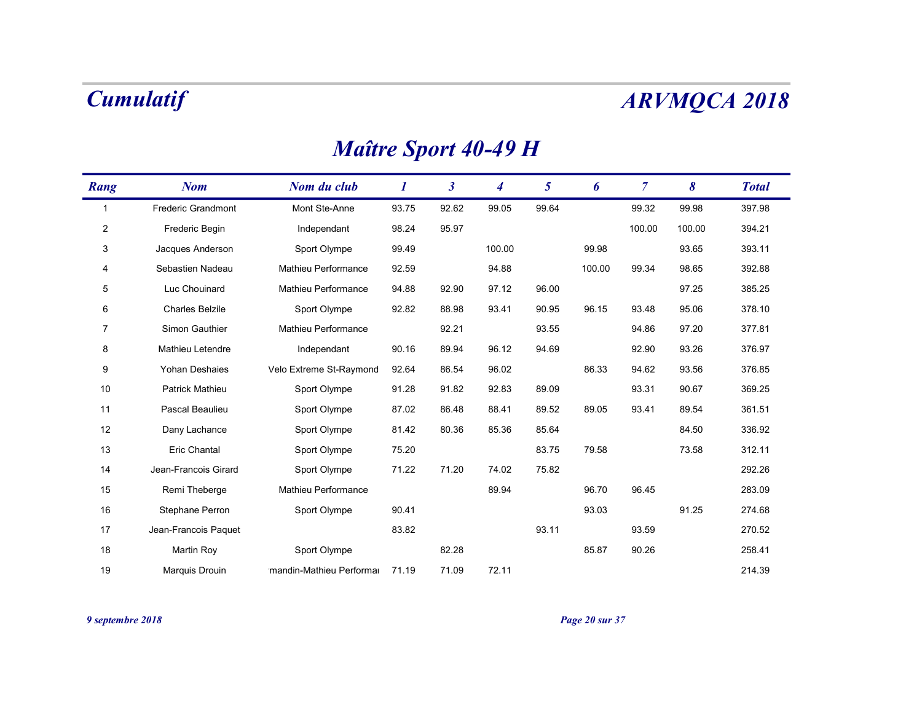# Nom Nom du club 1 3 <sup>4</sup> Rang 5 Nometical Nometra Club 1 3 4 5 6 7 8 Total **RVMQCA 2018**<br>
<br>
<u>7 8 Total</u><br>
<br>
<u>32 99.98 397.98</u><br>
<br>
<br>
93.65 393.11 1 397.98 Frederic Grandmont Mont Ste-Anne 93.75 92.62 99.05 99.64 99.32 99.98  $\begin{array}{cccccc} \textit{unruality} & & & & & & & & \\ \textit{Maitre Sport 40-49 H} & & & & & & & & \\ \hline \textit{mg} & & & & & & & & & & \\ \hline \textit{Priedetic Grantmost} & & & & & & & & & & & \\ \hline \textit{Friedetic Grantmost} & & & & & & & & & & & & \\ \hline \textit{Priedetic Carton} & & & & & & & & & & & & \\ \hline \textit{Predistic Carton} & & & & & & & & & & & & & \\ \hline \textit{Predistic Carton} & & & & & & & & & & & & & \\ \hline \textit{Predistic Carton} & & & & & &$  $\begin{array}{cccccccccccccccc} \textit{unnu} \end{array} \begin{array}{cccccccccccc} \textit{unnu} \end{array} \begin{array}{cccccccc} \textit{sum} \end{array} \begin{array}{cccccccc} \textit{sum} \end{array} \begin{array}{cccccccc} \textit{sum} \end{array} \begin{array}{cccccccc} \textit{sum} \end{array} \begin{array}{cccccccc} \textit{sum} \end{array} \begin{array}{cccccccc} \textit{sum} \end{array} \begin{array}{cccccccc} \textit{sum} \end{array} \begin{array}{cccccccc} \textit{sum} \end{array} \begin{array}{cccccccc} \textit{sum} \end{array} \begin{array}{cccc$  $\begin{array}{cccccccccccccccc} \textit{unnu} & \textit{1.4} & \textit{1.4} & \textit{1.4} & \textit{1.4} & \textit{1.4} & \textit{1.4} & \textit{1.4} & \textit{1.4} & \textit{1.4} & \textit{1.4} & \textit{1.4} & \textit{1.4} & \textit{1.4} & \textit{1.4} & \textit{1.4} & \textit{1.4} & \textit{1.4} & \textit{1.4} & \textit{1.4} & \textit{1.4} & \textit{1.4} & \textit{1.4} & \textit{$ 5 385.25 Luc Chouinard Mathieu Performance 94.88 92.90 97.12 96.00 97.25 6 378.10 Charles Belzile Sport Olympe 92.82 88.98 93.41 90.95 96.15 93.48 95.06 7 377.81 Simon Gauthier Mathieu Performance 92.21 93.55 94.86 97.20 8 376.97 Mathieu Letendre Independant 90.16 89.94 96.12 94.69 92.90 93.26  $\begin{array}{llllllll} \hline \textbf{I.}\qquad \textbf{I.}\qquad \textbf{I.}\qquad \textbf{I.}\qquad \textbf{I.}\qquad \textbf{I.}\qquad \textbf{I.}\qquad \textbf{I.}\qquad \textbf{I.}\qquad \textbf{I.}\qquad \textbf{I.}\qquad \textbf{I.}\qquad \textbf{I.}\qquad \textbf{I.}\qquad \textbf{I.}\qquad \textbf{I.}\qquad \textbf{I.}\qquad \textbf{I.}\qquad \textbf{I.}\qquad \textbf{I.}\qquad \textbf{I.}\qquad \textbf{I.}\qquad \textbf{I.}\qquad$ 10 369.25 Patrick Mathieu Sport Olympe 91.28 91.82 92.83 89.09 93.31 90.67 11 361.51 Pascal Beaulieu Sport Olympe 87.02 86.48 88.41 89.52 89.05 93.41 89.54  $\begin{array}{|ccccccccccccccccccc|}\hline \textbf{1} & \textbf{1} & \textbf{2} & \textbf{2} & \textbf{2} & \textbf{2} & \textbf{2} & \textbf{2} & \textbf{2} & \textbf{2} & \textbf{2} & \textbf{2} & \textbf{2} & \textbf{2} & \textbf{2} & \textbf{2} & \textbf{2} & \textbf{2} & \textbf{2} & \textbf{2} & \textbf{2} & \textbf{2} & \textbf{2} & \textbf{2} & \textbf{2} & \textbf{2} & \textbf{2} & \textbf{2} & \textbf{2} & \text$  $M\overline{dH}T^p \cong \text{Sport 4U-49 }\text{H}$ <br>
Frodor Grandmont Monti Se-Ance<br>
2 Fredor Grandmont Mont Se-Ance<br>
2 Fredor Degen<br>
3 - Fredor Begin Hotel Section<br>
3 - Section Madissi Polympe 89.28 99.05 99.64 99.30<br>
3 - Section Nadissi M 11 29 Nom Marin Maria Severna 1923 14 5 6 7 8 Total 11<br>1 Frederic Grandmont Mari Sle-Arme 193.75 192.62 96.05 99.64 193.22 99.66 397.99<br>12 Frederic Beath Independent 19624<br>14 Sebaster Nadies Marine Performance 1948 192.90 15 283.09 Remi Theberge Mathieu Performance 89.94 96.70 96.45 16 Constrollent Mortis - Marine Construction 1975 - 1922 - 1930 - 1932 - 1932 - 1932 - 1932 - 1948 - 1948 - 1948 - 1948 - 1948 - 1948 - 1948 - 1948 - 1948 - 1948 - 1948 - 1948 - 1948 - 1948 - 1948 - 1948 - 1948 - 1948 - 19 17 270.52 Jean-Francois Paquet 83.82 93.11 93.59 3 Jacques Andenboron Sport Olympe 91.42 80.36 85.88 85.88 85.88 85.88 86.88 86.88 10.000 98.34 88.85 382.88<br>18 Elus Cheminated Muslim Parlamentare 94.88 92.90 97.12 98.60 97.91 97.25 385.25<br>17 Cheminated Muslim Parlamentar 19 Schott Normand Mindhel Performance 92.50 94.89 99.511 99.00 90.34 90.53 302.29<br>19 Charles Babile Spart Olympe: 92.82 92.90 97.12 96.00<br>19 Charles Babile Spart Olympe: 92.82 80.84 90.55 98.15 93.46 95.06 37.18 10<br>17 Simo 9 Simon Gauther Mathiasu Performance 92.21 93.55 94.86 97.20 377.81<br>
9 Mathias Lakentine – Independent 90.16 89.94 96.12 94.89 92.09 92.29 77.81<br>
9 Yohan Deminates (Web Externe St Reynolds 19.54 86.54 86.02 88.33 94.62 93.

### Maître Sport 40-49 H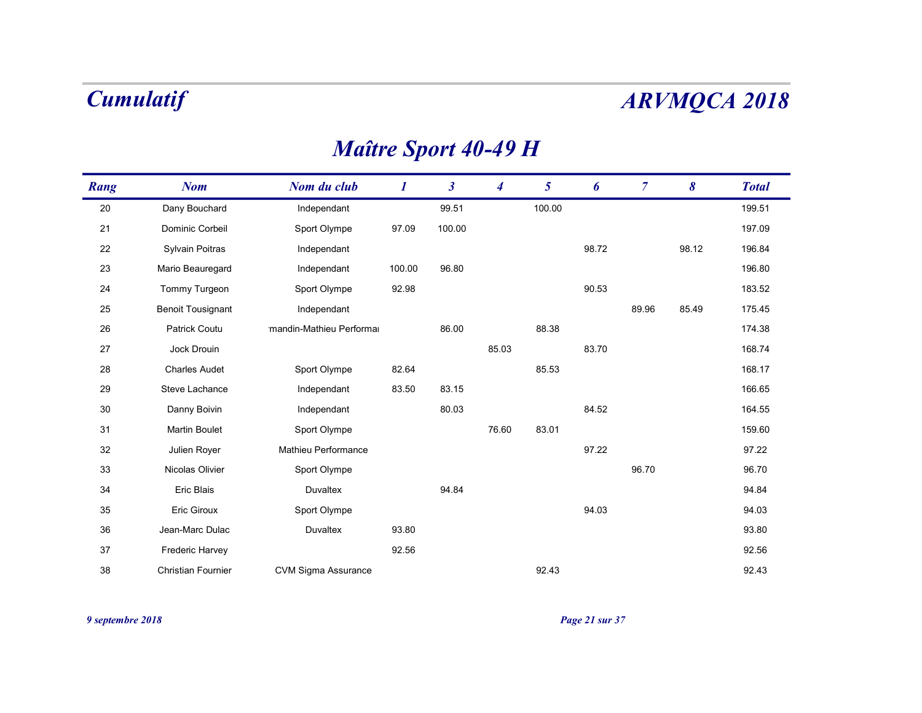## Maître Sport 40-49 H

|        | <b>Cumulatif</b>         |                             |          |                      |                |                |       |                | <b>ARVMQCA 2018</b>   |              |
|--------|--------------------------|-----------------------------|----------|----------------------|----------------|----------------|-------|----------------|-----------------------|--------------|
|        |                          | <b>Maître Sport 40-49 H</b> |          |                      |                |                |       |                |                       |              |
| Rang   | <b>Nom</b>               | Nom du club                 | $\bm{l}$ | $\boldsymbol{\beta}$ | $\overline{4}$ | 5 <sup>5</sup> | 6     | $\overline{7}$ | $\boldsymbol{\delta}$ | <b>Total</b> |
| $20\,$ | Dany Bouchard            | Independant                 |          | 99.51                |                | 100.00         |       |                |                       | 199.51       |
| 21     | Dominic Corbeil          | Sport Olympe                | 97.09    | 100.00               |                |                |       |                |                       | 197.09       |
| 22     | Sylvain Poitras          | Independant                 |          |                      |                |                | 98.72 |                | 98.12                 | 196.84       |
| 23     | Mario Beauregard         | Independant                 | 100.00   | 96.80                |                |                |       |                |                       | 196.80       |
| 24     | Tommy Turgeon            | Sport Olympe                | 92.98    |                      |                |                | 90.53 |                |                       | 183.52       |
| 25     | <b>Benoit Tousignant</b> | Independant                 |          |                      |                |                |       | 89.96          | 85.49                 | 175.45       |
| 26     | Patrick Coutu            | mandin-Mathieu Performal    |          | 86.00                |                | 88.38          |       |                |                       | 174.38       |
| 27     | Jock Drouin              |                             |          |                      | 85.03          |                | 83.70 |                |                       | 168.74       |
| 28     | <b>Charles Audet</b>     | Sport Olympe                | 82.64    |                      |                | 85.53          |       |                |                       | 168.17       |
| 29     | Steve Lachance           | Independant                 | 83.50    | 83.15                |                |                |       |                |                       | 166.65       |
| 30     | Danny Boivin             | Independant                 |          | 80.03                |                |                | 84.52 |                |                       | 164.55       |
| 31     | <b>Martin Boulet</b>     | Sport Olympe                |          |                      | 76.60          | 83.01          |       |                |                       | 159.60       |
| $32\,$ | Julien Royer             | Mathieu Performance         |          |                      |                |                | 97.22 |                |                       | 97.22        |
| 33     | Nicolas Olivier          | Sport Olympe                |          |                      |                |                |       | 96.70          |                       | 96.70        |
| 34     | Eric Blais               | Duvaltex                    |          | 94.84                |                |                |       |                |                       | 94.84        |
| 35     | Eric Giroux              | Sport Olympe                |          |                      |                |                | 94.03 |                |                       | 94.03        |
| 36     | Jean-Marc Dulac          | Duvaltex                    | 93.80    |                      |                |                |       |                |                       | 93.80        |
| $37\,$ | Frederic Harvey          |                             | 92.56    |                      |                |                |       |                |                       | 92.56        |
|        |                          |                             |          |                      |                |                |       |                |                       |              |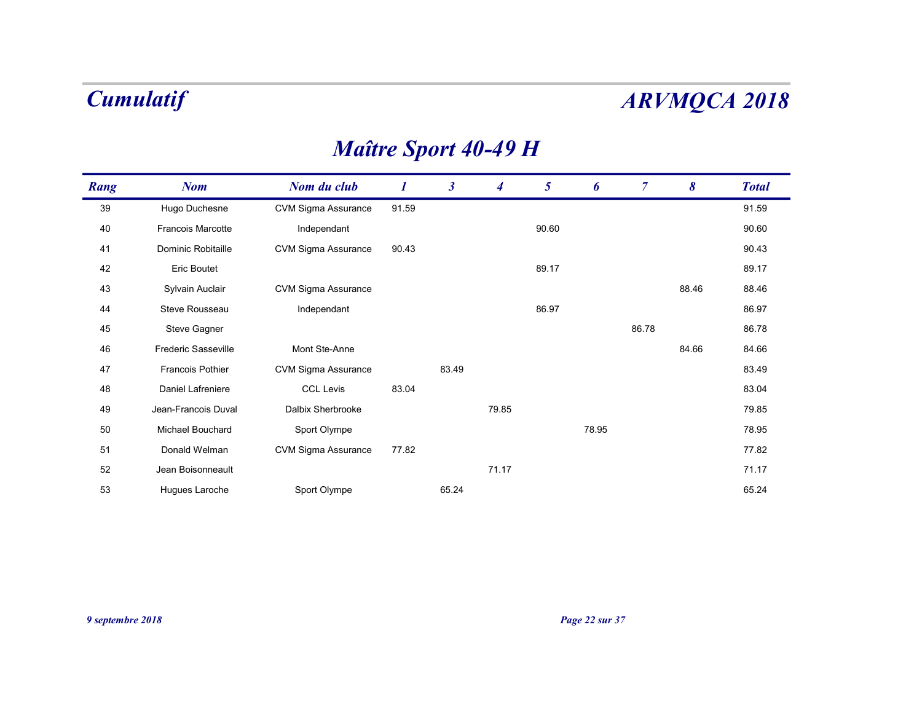## Maître Sport 40-49 H

|      | <b>Cumulatif</b>    |                             |          |                      |                  |                 |       |                |       | <b>ARVMQCA 2018</b> |
|------|---------------------|-----------------------------|----------|----------------------|------------------|-----------------|-------|----------------|-------|---------------------|
|      |                     | <b>Maître Sport 40-49 H</b> |          |                      |                  |                 |       |                |       |                     |
| Rang | <b>Nom</b>          | Nom du club                 | $\bm{l}$ | $\boldsymbol{\beta}$ | $\boldsymbol{4}$ | $5\overline{)}$ | 6     | $\overline{7}$ | 8     | <b>Total</b>        |
| 39   | Hugo Duchesne       | <b>CVM Sigma Assurance</b>  | 91.59    |                      |                  |                 |       |                |       | 91.59               |
| 40   | Francois Marcotte   | Independant                 |          |                      |                  | 90.60           |       |                |       | 90.60               |
| 41   | Dominic Robitaille  | <b>CVM Sigma Assurance</b>  | 90.43    |                      |                  |                 |       |                |       | 90.43               |
| 42   | <b>Eric Boutet</b>  |                             |          |                      |                  | 89.17           |       |                |       | 89.17               |
| 43   | Sylvain Auclair     | CVM Sigma Assurance         |          |                      |                  |                 |       |                | 88.46 | 88.46               |
| 44   | Steve Rousseau      | Independant                 |          |                      |                  | 86.97           |       |                |       | 86.97               |
| 45   | Steve Gagner        |                             |          |                      |                  |                 |       | 86.78          |       | 86.78               |
| 46   | Frederic Sasseville | Mont Ste-Anne               |          |                      |                  |                 |       |                | 84.66 | 84.66               |
| 47   | Francois Pothier    | CVM Sigma Assurance         |          | 83.49                |                  |                 |       |                |       | 83.49               |
| 48   | Daniel Lafreniere   | <b>CCL Levis</b>            | 83.04    |                      |                  |                 |       |                |       | 83.04               |
| 49   | Jean-Francois Duval | Dalbix Sherbrooke           |          |                      | 79.85            |                 |       |                |       | 79.85               |
| 50   | Michael Bouchard    | Sport Olympe                |          |                      |                  |                 | 78.95 |                |       | 78.95               |
| 51   | Donald Welman       | <b>CVM Sigma Assurance</b>  | 77.82    |                      |                  |                 |       |                |       | 77.82               |
| 52   | Jean Boisonneault   |                             |          |                      | 71.17            |                 |       |                |       | 71.17               |
| 53   | Hugues Laroche      | Sport Olympe                |          | 65.24                |                  |                 |       |                |       | 65.24               |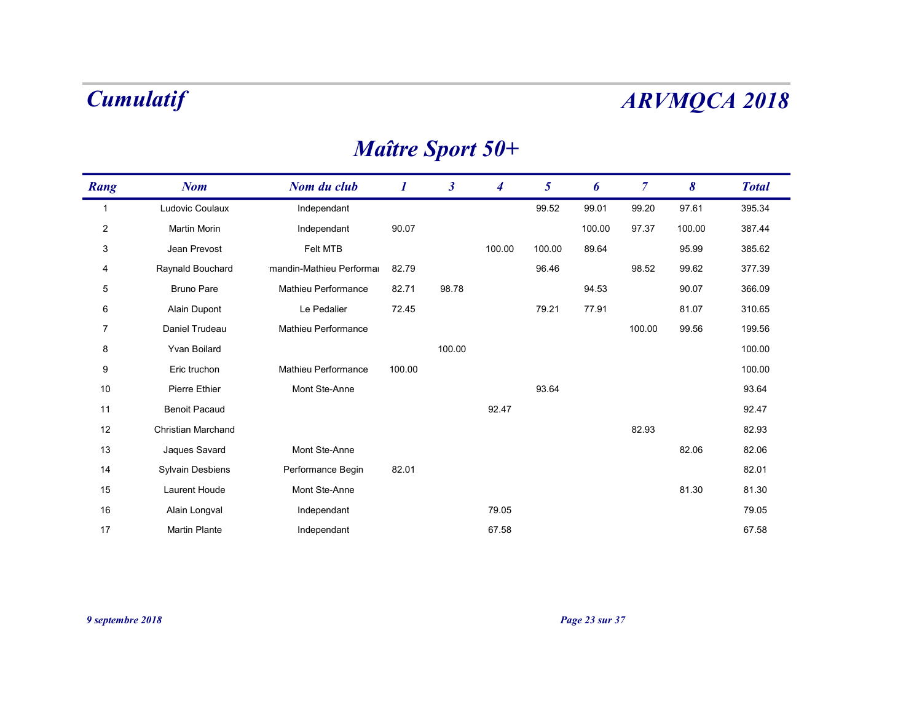## Maître Sport 50+

|                | <b>Cumulatif</b>     |                          |                  |                      |                         |                 |        |                |        | <b>ARVMQCA 2018</b> |
|----------------|----------------------|--------------------------|------------------|----------------------|-------------------------|-----------------|--------|----------------|--------|---------------------|
|                |                      |                          |                  |                      | <b>Maître Sport 50+</b> |                 |        |                |        |                     |
| Rang           | <b>Nom</b>           | Nom du club              | $\boldsymbol{l}$ | $\boldsymbol{\beta}$ | $\boldsymbol{4}$        | $5\overline{)}$ | 6      | $\overline{7}$ | 8      | <b>Total</b>        |
| $\overline{1}$ | Ludovic Coulaux      | Independant              |                  |                      |                         | 99.52           | 99.01  | 99.20          | 97.61  | 395.34              |
| $\overline{2}$ | Martin Morin         | Independant              | 90.07            |                      |                         |                 | 100.00 | 97.37          | 100.00 | 387.44              |
| 3              | Jean Prevost         | Felt MTB                 |                  |                      | 100.00                  | 100.00          | 89.64  |                | 95.99  | 385.62              |
| 4              | Raynald Bouchard     | mandin-Mathieu Performal | 82.79            |                      |                         | 96.46           |        | 98.52          | 99.62  | 377.39              |
| 5              | <b>Bruno Pare</b>    | Mathieu Performance      | 82.71            | 98.78                |                         |                 | 94.53  |                | 90.07  | 366.09              |
| 6              | Alain Dupont         | Le Pedalier              | 72.45            |                      |                         | 79.21           | 77.91  |                | 81.07  | 310.65              |
| 7              | Daniel Trudeau       | Mathieu Performance      |                  |                      |                         |                 |        | 100.00         | 99.56  | 199.56              |
| 8              | Yvan Boilard         |                          |                  | 100.00               |                         |                 |        |                |        | 100.00              |
| 9              | Eric truchon         | Mathieu Performance      | 100.00           |                      |                         |                 |        |                |        | 100.00              |
| 10             | Pierre Ethier        | Mont Ste-Anne            |                  |                      |                         | 93.64           |        |                |        | 93.64               |
| 11             | <b>Benoit Pacaud</b> |                          |                  |                      | 92.47                   |                 |        |                |        | 92.47               |
| 12             | Christian Marchand   |                          |                  |                      |                         |                 |        | 82.93          |        | 82.93               |
| 13             | Jaques Savard        | Mont Ste-Anne            |                  |                      |                         |                 |        |                | 82.06  | 82.06               |
| 14             | Sylvain Desbiens     | Performance Begin        | 82.01            |                      |                         |                 |        |                |        | 82.01               |
| 15             | Laurent Houde        | Mont Ste-Anne            |                  |                      |                         |                 |        |                | 81.30  | 81.30               |
| 16             | Alain Longval        | Independant              |                  |                      | 79.05                   |                 |        |                |        | 79.05               |
| 17             | <b>Martin Plante</b> | Independant              |                  |                      | 67.58                   |                 |        |                |        | 67.58               |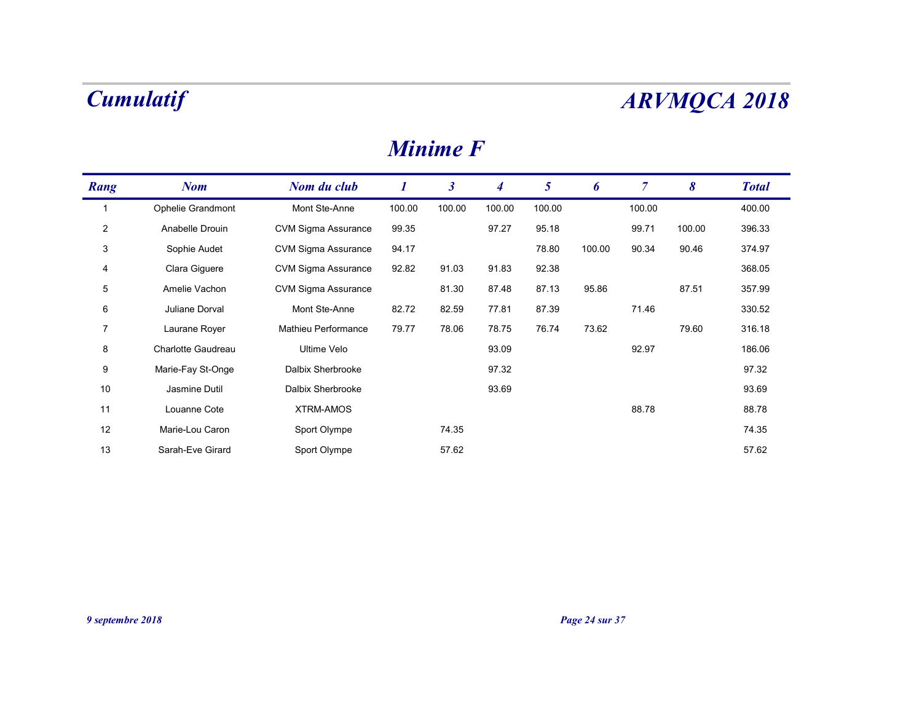### Minime F

|                | <b>Cumulatif</b>   |                            |                  |                      |                  |                |        |                |        | <b>ARVMQCA 2018</b> |
|----------------|--------------------|----------------------------|------------------|----------------------|------------------|----------------|--------|----------------|--------|---------------------|
|                |                    |                            |                  | <b>Minime F</b>      |                  |                |        |                |        |                     |
| Rang           | <b>Nom</b>         | Nom du club                | $\boldsymbol{I}$ | $\boldsymbol{\beta}$ | $\boldsymbol{4}$ | 5 <sup>5</sup> | 6      | $\overline{7}$ | 8      | <b>Total</b>        |
| $\overline{1}$ | Ophelie Grandmont  | Mont Ste-Anne              | 100.00           | 100.00               | 100.00           | 100.00         |        | 100.00         |        | 400.00              |
| $\overline{2}$ | Anabelle Drouin    | <b>CVM Sigma Assurance</b> | 99.35            |                      | 97.27            | 95.18          |        | 99.71          | 100.00 | 396.33              |
| 3              | Sophie Audet       | <b>CVM Sigma Assurance</b> | 94.17            |                      |                  | 78.80          | 100.00 | 90.34          | 90.46  | 374.97              |
| 4              | Clara Giguere      | <b>CVM Sigma Assurance</b> | 92.82            | 91.03                | 91.83            | 92.38          |        |                |        | 368.05              |
| 5              | Amelie Vachon      | CVM Sigma Assurance        |                  | 81.30                | 87.48            | 87.13          | 95.86  |                | 87.51  | 357.99              |
| 6              | Juliane Dorval     | Mont Ste-Anne              | 82.72            | 82.59                | 77.81            | 87.39          |        | 71.46          |        | 330.52              |
| $\overline{7}$ | Laurane Royer      | Mathieu Performance        | 79.77            | 78.06                | 78.75            | 76.74          | 73.62  |                | 79.60  | 316.18              |
| 8              | Charlotte Gaudreau | Ultime Velo                |                  |                      | 93.09            |                |        | 92.97          |        | 186.06              |
| 9              | Marie-Fay St-Onge  | Dalbix Sherbrooke          |                  |                      | 97.32            |                |        |                |        | 97.32               |
| 10             | Jasmine Dutil      | Dalbix Sherbrooke          |                  |                      | 93.69            |                |        |                |        | 93.69               |
| 11             | Louanne Cote       | XTRM-AMOS                  |                  |                      |                  |                |        | 88.78          |        | 88.78               |
| 12             | Marie-Lou Caron    | Sport Olympe               |                  | 74.35                |                  |                |        |                |        | 74.35               |
| 13             | Sarah-Eve Girard   | Sport Olympe               |                  | 57.62                |                  |                |        |                |        | 57.62               |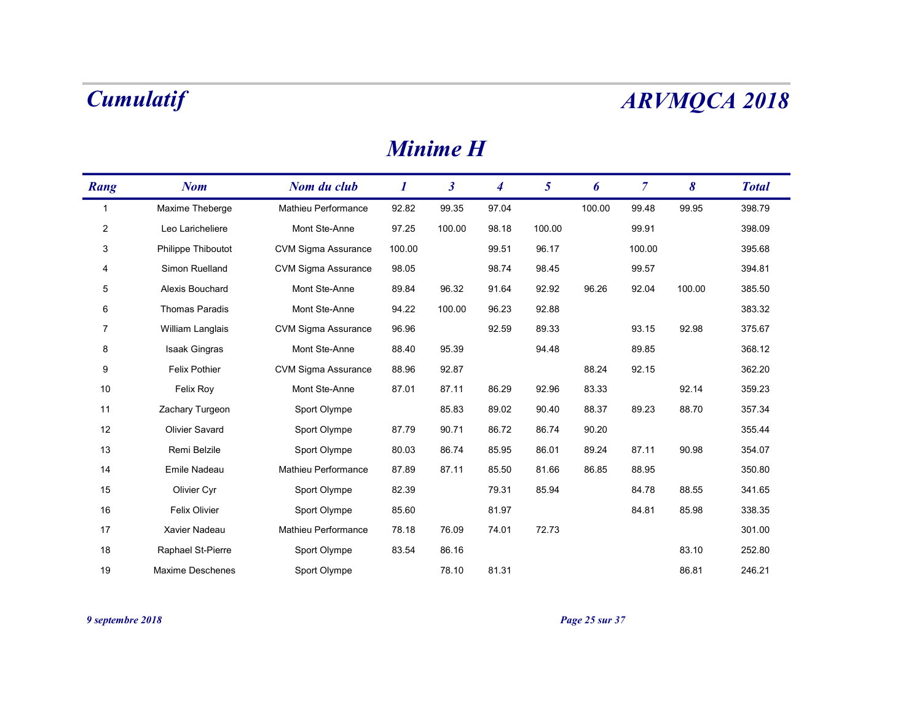### Minime H

|                | <b>Cumulatif</b>   |                     |          |                      |                  |                 |        |                |        | <b>ARVMQCA 2018</b> |
|----------------|--------------------|---------------------|----------|----------------------|------------------|-----------------|--------|----------------|--------|---------------------|
|                |                    |                     |          | <b>Minime H</b>      |                  |                 |        |                |        |                     |
| Rang           | <b>Nom</b>         | Nom du club         | $\bm{l}$ | $\boldsymbol{\beta}$ | $\boldsymbol{4}$ | $5\overline{)}$ | 6      | $\overline{7}$ | 8      | <b>Total</b>        |
| $\overline{1}$ | Maxime Theberge    | Mathieu Performance | 92.82    | 99.35                | 97.04            |                 | 100.00 | 99.48          | 99.95  | 398.79              |
| $\overline{2}$ | Leo Laricheliere   | Mont Ste-Anne       | 97.25    | 100.00               | 98.18            | 100.00          |        | 99.91          |        | 398.09              |
| 3              | Philippe Thiboutot | CVM Sigma Assurance | 100.00   |                      | 99.51            | 96.17           |        | 100.00         |        | 395.68              |
| 4              | Simon Ruelland     | CVM Sigma Assurance | 98.05    |                      | 98.74            | 98.45           |        | 99.57          |        | 394.81              |
| 5              | Alexis Bouchard    | Mont Ste-Anne       | 89.84    | 96.32                | 91.64            | 92.92           | 96.26  | 92.04          | 100.00 | 385.50              |
| 6              | Thomas Paradis     | Mont Ste-Anne       | 94.22    | 100.00               | 96.23            | 92.88           |        |                |        | 383.32              |
| 7              | William Langlais   | CVM Sigma Assurance | 96.96    |                      | 92.59            | 89.33           |        | 93.15          | 92.98  | 375.67              |
| 8              | Isaak Gingras      | Mont Ste-Anne       | 88.40    | 95.39                |                  | 94.48           |        | 89.85          |        | 368.12              |
| 9              | Felix Pothier      | CVM Sigma Assurance | 88.96    | 92.87                |                  |                 | 88.24  | 92.15          |        | 362.20              |
| 10             | Felix Roy          | Mont Ste-Anne       | 87.01    | 87.11                | 86.29            | 92.96           | 83.33  |                | 92.14  | 359.23              |
| 11             | Zachary Turgeon    | Sport Olympe        |          | 85.83                | 89.02            | 90.40           | 88.37  | 89.23          | 88.70  | 357.34              |
| 12             | Olivier Savard     | Sport Olympe        | 87.79    | 90.71                | 86.72            | 86.74           | 90.20  |                |        | 355.44              |
| $13$           | Remi Belzile       | Sport Olympe        | 80.03    | 86.74                | 85.95            | 86.01           | 89.24  | 87.11          | 90.98  | 354.07              |
| 14             | Emile Nadeau       | Mathieu Performance | 87.89    | 87.11                | 85.50            | 81.66           | 86.85  | 88.95          |        | 350.80              |
| 15             | Olivier Cyr        | Sport Olympe        | 82.39    |                      | 79.31            | 85.94           |        | 84.78          | 88.55  | 341.65              |
| 16             | Felix Olivier      | Sport Olympe        | 85.60    |                      | 81.97            |                 |        | 84.81          | 85.98  | 338.35              |
| 17             | Xavier Nadeau      | Mathieu Performance | 78.18    | 76.09                | 74.01            | 72.73           |        |                |        | 301.00              |
| 18             | Raphael St-Pierre  | Sport Olympe        | 83.54    | 86.16                |                  |                 |        |                | 83.10  | 252.80              |
|                | Maxime Deschenes   | Sport Olympe        |          | 78.10                | 81.31            |                 |        |                | 86.81  | 246.21              |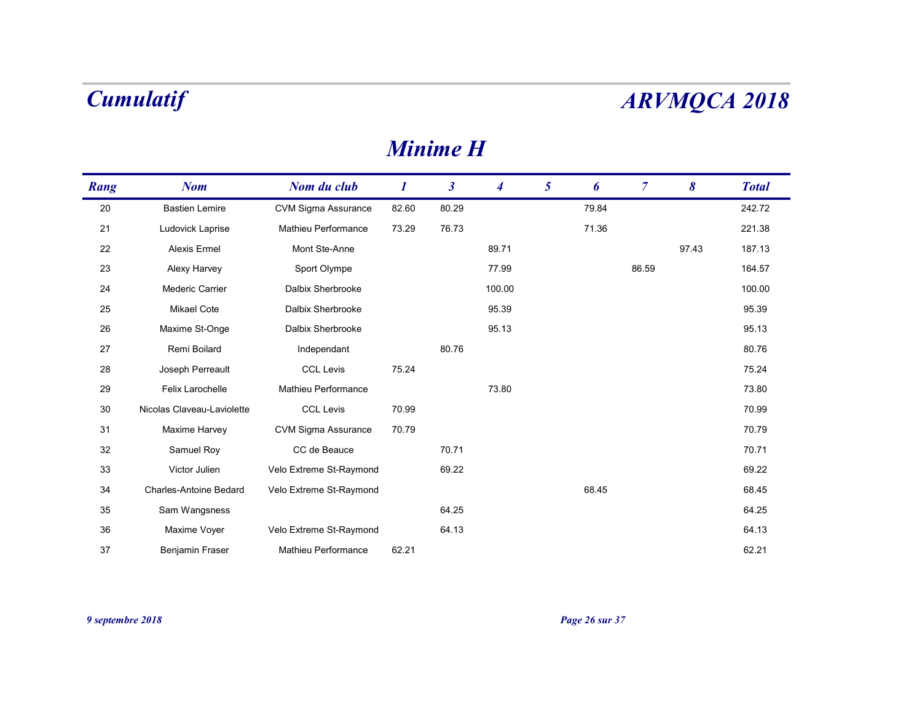### Minime H

|        | <b>Cumulatif</b>           |                            |          |                      |                  |                 |       |                |       | <b>ARVMQCA 2018</b> |
|--------|----------------------------|----------------------------|----------|----------------------|------------------|-----------------|-------|----------------|-------|---------------------|
|        |                            |                            |          | <b>Minime H</b>      |                  |                 |       |                |       |                     |
| Rang   | <b>Nom</b>                 | Nom du club                | $\bm{l}$ | $\boldsymbol{\beta}$ | $\boldsymbol{4}$ | $5\overline{)}$ | 6     | $\overline{7}$ | 8     | <b>Total</b>        |
| 20     | <b>Bastien Lemire</b>      | <b>CVM Sigma Assurance</b> | 82.60    | 80.29                |                  |                 | 79.84 |                |       | 242.72              |
| 21     | Ludovick Laprise           | Mathieu Performance        | 73.29    | 76.73                |                  |                 | 71.36 |                |       | 221.38              |
| 22     | Alexis Ermel               | Mont Ste-Anne              |          |                      | 89.71            |                 |       |                | 97.43 | 187.13              |
| 23     | Alexy Harvey               | Sport Olympe               |          |                      | 77.99            |                 |       | 86.59          |       | 164.57              |
| 24     | Mederic Carrier            | Dalbix Sherbrooke          |          |                      | 100.00           |                 |       |                |       | 100.00              |
| 25     | Mikael Cote                | Dalbix Sherbrooke          |          |                      | 95.39            |                 |       |                |       | 95.39               |
| 26     | Maxime St-Onge             | Dalbix Sherbrooke          |          |                      | 95.13            |                 |       |                |       | 95.13               |
| 27     | Remi Boilard               | Independant                |          | 80.76                |                  |                 |       |                |       | 80.76               |
| 28     | Joseph Perreault           | <b>CCL Levis</b>           | 75.24    |                      |                  |                 |       |                |       | 75.24               |
| 29     | Felix Larochelle           | Mathieu Performance        |          |                      | 73.80            |                 |       |                |       | 73.80               |
| 30     | Nicolas Claveau-Laviolette | <b>CCL Levis</b>           | 70.99    |                      |                  |                 |       |                |       | 70.99               |
| 31     | Maxime Harvey              | CVM Sigma Assurance        | 70.79    |                      |                  |                 |       |                |       | 70.79               |
| $32\,$ | Samuel Roy                 | CC de Beauce               |          | 70.71                |                  |                 |       |                |       | 70.71               |
| 33     | Victor Julien              | Velo Extreme St-Raymond    |          | 69.22                |                  |                 |       |                |       | 69.22               |
| 34     | Charles-Antoine Bedard     | Velo Extreme St-Raymond    |          |                      |                  |                 | 68.45 |                |       | 68.45               |
| 35     | Sam Wangsness              |                            |          | 64.25                |                  |                 |       |                |       | 64.25               |
| 36     | Maxime Voyer               | Velo Extreme St-Raymond    |          | 64.13                |                  |                 |       |                |       | 64.13               |
| 37     | Benjamin Fraser            | Mathieu Performance        | 62.21    |                      |                  |                 |       |                |       | 62.21               |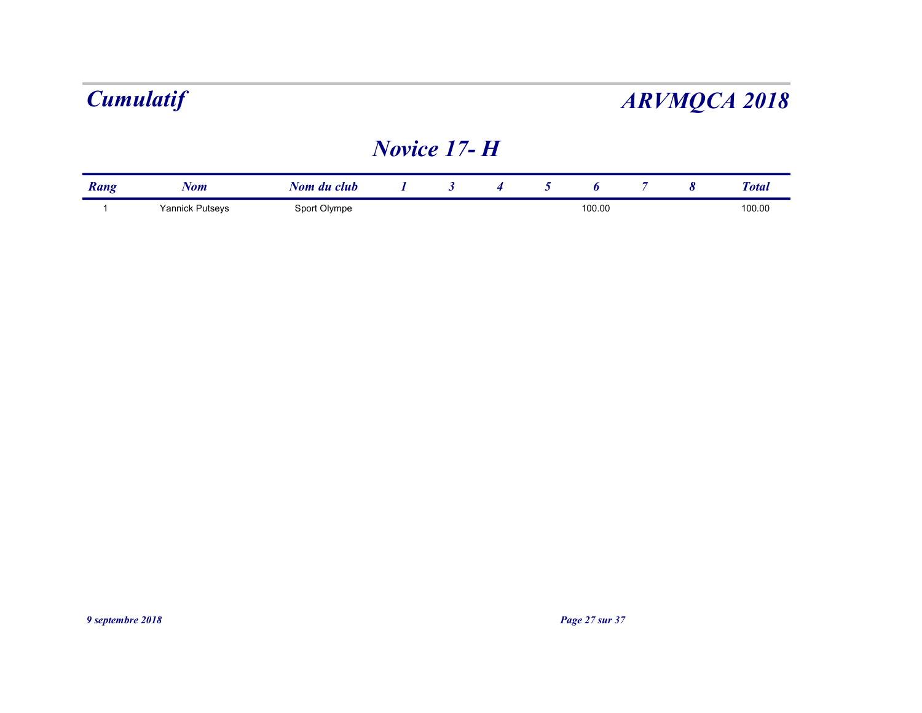## Novice 17- H

|      | <b>Cumulatif</b> |             |                    | <b>ARVMQCA 2018</b>  |   |             |   |                |                       |              |  |  |
|------|------------------|-------------|--------------------|----------------------|---|-------------|---|----------------|-----------------------|--------------|--|--|
|      |                  |             | <b>Novice 17-H</b> |                      |   |             |   |                |                       |              |  |  |
|      |                  |             |                    |                      |   |             |   |                |                       |              |  |  |
| Rang | <b>Nom</b>       | Nom du club |                    | $\boldsymbol{\beta}$ | 4 | $5^{\circ}$ | 6 | $\overline{7}$ | $\boldsymbol{\delta}$ | <b>Total</b> |  |  |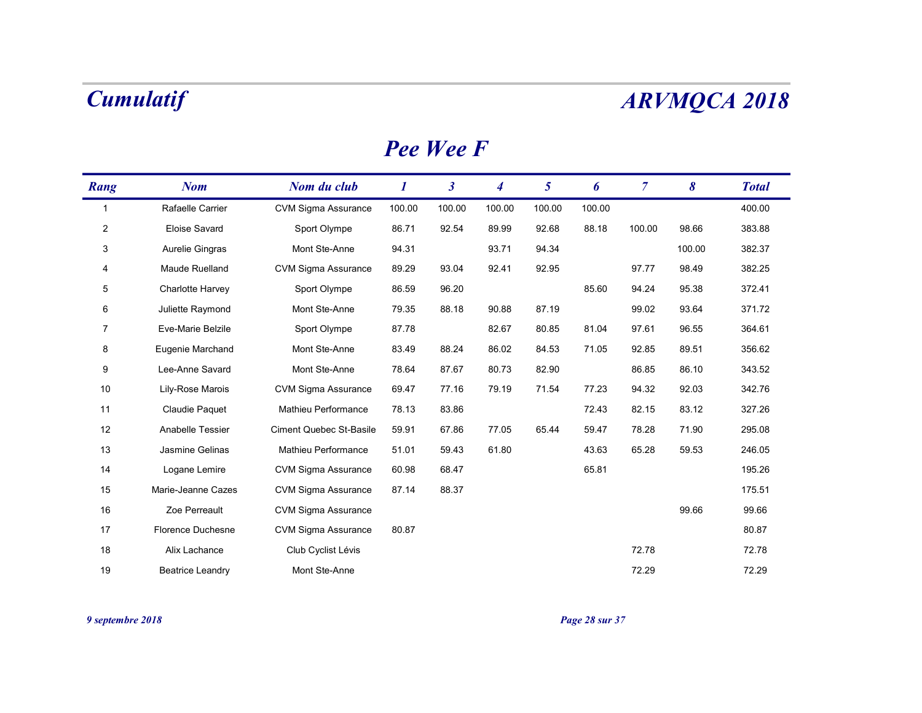### Pee Wee F

|                | <b>Cumulatif</b>        |                            |          |                      |                  |                 |        |                |                       | <b>ARVMQCA 2018</b> |
|----------------|-------------------------|----------------------------|----------|----------------------|------------------|-----------------|--------|----------------|-----------------------|---------------------|
|                |                         |                            |          | <b>Pee Wee F</b>     |                  |                 |        |                |                       |                     |
| Rang           | <b>Nom</b>              | Nom du club                | $\bm{l}$ | $\boldsymbol{\beta}$ | $\boldsymbol{4}$ | $5\overline{)}$ | 6      | $\overline{7}$ | $\boldsymbol{\delta}$ | <b>Total</b>        |
| $\overline{1}$ | Rafaelle Carrier        | <b>CVM Sigma Assurance</b> | 100.00   | 100.00               | 100.00           | 100.00          | 100.00 |                |                       | 400.00              |
| $\overline{c}$ | Eloise Savard           | Sport Olympe               | 86.71    | 92.54                | 89.99            | 92.68           | 88.18  | 100.00         | 98.66                 | 383.88              |
| 3              | Aurelie Gingras         | Mont Ste-Anne              | 94.31    |                      | 93.71            | 94.34           |        |                | 100.00                | 382.37              |
| 4              | Maude Ruelland          | <b>CVM Sigma Assurance</b> | 89.29    | 93.04                | 92.41            | 92.95           |        | 97.77          | 98.49                 | 382.25              |
| 5              | <b>Charlotte Harvey</b> | Sport Olympe               | 86.59    | 96.20                |                  |                 | 85.60  | 94.24          | 95.38                 | 372.41              |
| 6              | Juliette Raymond        | Mont Ste-Anne              | 79.35    | 88.18                | 90.88            | 87.19           |        | 99.02          | 93.64                 | 371.72              |
| 7              | Eve-Marie Belzile       | Sport Olympe               | 87.78    |                      | 82.67            | 80.85           | 81.04  | 97.61          | 96.55                 | 364.61              |
| 8              | Eugenie Marchand        | Mont Ste-Anne              | 83.49    | 88.24                | 86.02            | 84.53           | 71.05  | 92.85          | 89.51                 | 356.62              |
| 9              | Lee-Anne Savard         | Mont Ste-Anne              | 78.64    | 87.67                | 80.73            | 82.90           |        | 86.85          | 86.10                 | 343.52              |
| 10             | Lily-Rose Marois        | <b>CVM Sigma Assurance</b> | 69.47    | 77.16                | 79.19            | 71.54           | 77.23  | 94.32          | 92.03                 | 342.76              |
| 11             | Claudie Paquet          | Mathieu Performance        | 78.13    | 83.86                |                  |                 | 72.43  | 82.15          | 83.12                 | 327.26              |
| 12             | Anabelle Tessier        | Ciment Quebec St-Basile    | 59.91    | 67.86                | 77.05            | 65.44           | 59.47  | 78.28          | 71.90                 | 295.08              |
| 13             | Jasmine Gelinas         | Mathieu Performance        | 51.01    | 59.43                | 61.80            |                 | 43.63  | 65.28          | 59.53                 | 246.05              |
| 14             | Logane Lemire           | CVM Sigma Assurance        | 60.98    | 68.47                |                  |                 | 65.81  |                |                       | 195.26              |
| 15             | Marie-Jeanne Cazes      | <b>CVM Sigma Assurance</b> | 87.14    | 88.37                |                  |                 |        |                |                       | 175.51              |
| 16             | Zoe Perreault           | CVM Sigma Assurance        |          |                      |                  |                 |        |                | 99.66                 | 99.66               |
| 17             | Florence Duchesne       | <b>CVM Sigma Assurance</b> | 80.87    |                      |                  |                 |        |                |                       | 80.87               |
| 18             | Alix Lachance           | Club Cyclist Lévis         |          |                      |                  |                 |        | 72.78          |                       | 72.78               |
|                | <b>Beatrice Leandry</b> | Mont Ste-Anne              |          |                      |                  |                 |        | 72.29          |                       | 72.29               |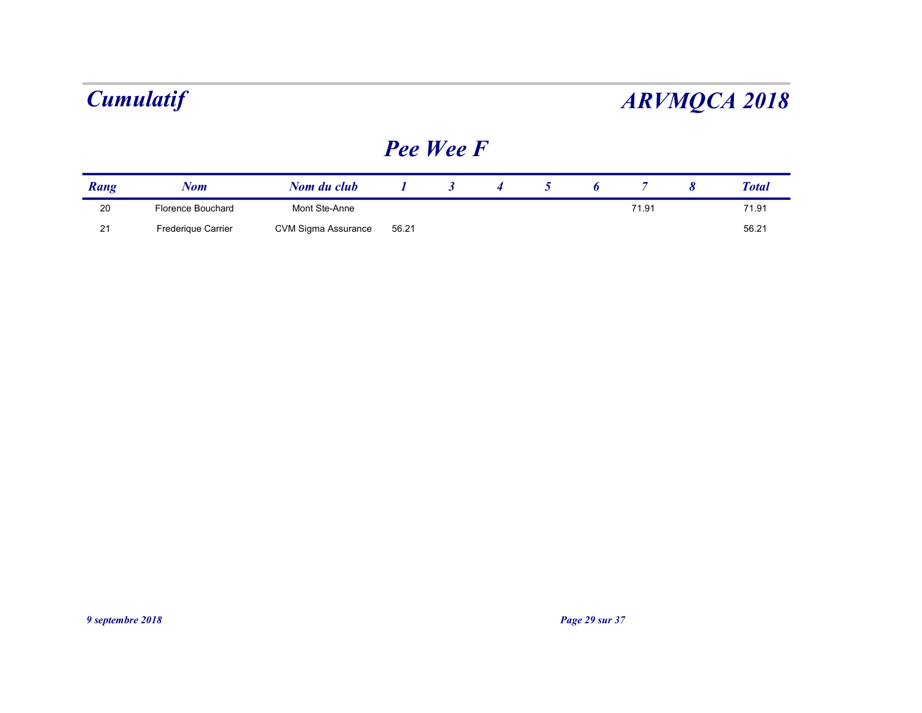### Pee Wee F

| <b>Cumulatif</b><br><b>ARVMQCA 2018</b> |                   |               |                  |                      |                  |                |   |                |                       |              |
|-----------------------------------------|-------------------|---------------|------------------|----------------------|------------------|----------------|---|----------------|-----------------------|--------------|
|                                         |                   |               | Pee Wee F        |                      |                  |                |   |                |                       |              |
|                                         | <b>Nom</b>        | Nom du club   | $\boldsymbol{I}$ | $\boldsymbol{\beta}$ | $\boldsymbol{4}$ | 5 <sup>5</sup> | 6 | $\overline{7}$ | $\boldsymbol{\delta}$ | <b>Total</b> |
| Rang                                    |                   |               |                  |                      |                  |                |   | 71.91          |                       | 71.91        |
| 20                                      | Florence Bouchard | Mont Ste-Anne |                  |                      |                  |                |   |                |                       | 56.21        |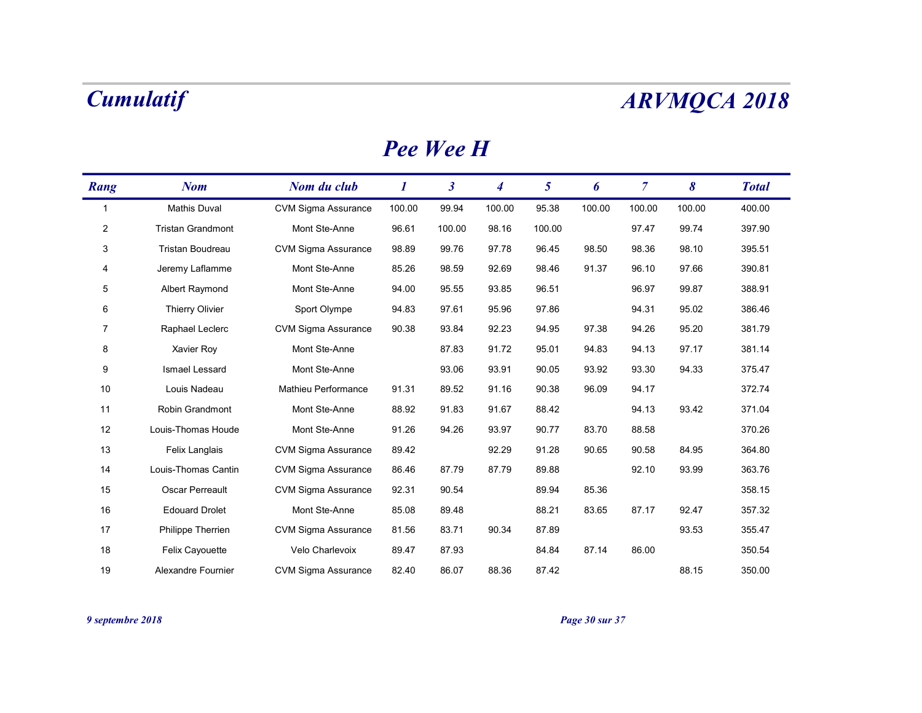|                | <b>Cumulatif</b>         |                            |          |                      |                  |                |        |                |        | <b>ARVMQCA 2018</b> |
|----------------|--------------------------|----------------------------|----------|----------------------|------------------|----------------|--------|----------------|--------|---------------------|
|                |                          |                            |          | <b>Pee Wee H</b>     |                  |                |        |                |        |                     |
| Rang           | <b>Nom</b>               | Nom du club                | $\bm{l}$ | $\boldsymbol{\beta}$ | $\boldsymbol{4}$ | $\mathfrak{s}$ | 6      | $\overline{7}$ | 8      | <b>Total</b>        |
| $\overline{1}$ | Mathis Duval             | CVM Sigma Assurance        | 100.00   | 99.94                | 100.00           | 95.38          | 100.00 | 100.00         | 100.00 | 400.00              |
| $\overline{2}$ | <b>Tristan Grandmont</b> | Mont Ste-Anne              | 96.61    | 100.00               | 98.16            | 100.00         |        | 97.47          | 99.74  | 397.90              |
| 3              | Tristan Boudreau         | <b>CVM Sigma Assurance</b> | 98.89    | 99.76                | 97.78            | 96.45          | 98.50  | 98.36          | 98.10  | 395.51              |
| 4              | Jeremy Laflamme          | Mont Ste-Anne              | 85.26    | 98.59                | 92.69            | 98.46          | 91.37  | 96.10          | 97.66  | 390.81              |
| 5              | Albert Raymond           | Mont Ste-Anne              | 94.00    | 95.55                | 93.85            | 96.51          |        | 96.97          | 99.87  | 388.91              |
| 6              | Thierry Olivier          | Sport Olympe               | 94.83    | 97.61                | 95.96            | 97.86          |        | 94.31          | 95.02  | 386.46              |
| 7              | Raphael Leclerc          | CVM Sigma Assurance        | 90.38    | 93.84                | 92.23            | 94.95          | 97.38  | 94.26          | 95.20  | 381.79              |
| 8              | Xavier Roy               | Mont Ste-Anne              |          | 87.83                | 91.72            | 95.01          | 94.83  | 94.13          | 97.17  | 381.14              |
| 9              | Ismael Lessard           | Mont Ste-Anne              |          | 93.06                | 93.91            | 90.05          | 93.92  | 93.30          | 94.33  | 375.47              |
| 10             | Louis Nadeau             | Mathieu Performance        | 91.31    | 89.52                | 91.16            | 90.38          | 96.09  | 94.17          |        | 372.74              |
| 11             | Robin Grandmont          | Mont Ste-Anne              | 88.92    | 91.83                | 91.67            | 88.42          |        | 94.13          | 93.42  | 371.04              |
| 12             | Louis-Thomas Houde       | Mont Ste-Anne              | 91.26    | 94.26                | 93.97            | 90.77          | 83.70  | 88.58          |        | 370.26              |
| 13             | Felix Langlais           | CVM Sigma Assurance        | 89.42    |                      | 92.29            | 91.28          | 90.65  | 90.58          | 84.95  | 364.80              |
| 14             | Louis-Thomas Cantin      | CVM Sigma Assurance        | 86.46    | 87.79                | 87.79            | 89.88          |        | 92.10          | 93.99  | 363.76              |
| 15             | Oscar Perreault          | CVM Sigma Assurance        | 92.31    | 90.54                |                  | 89.94          | 85.36  |                |        | 358.15              |
| 16             | <b>Edouard Drolet</b>    | Mont Ste-Anne              | 85.08    | 89.48                |                  | 88.21          | 83.65  | 87.17          | 92.47  | 357.32              |
| 17             | Philippe Therrien        | CVM Sigma Assurance        | 81.56    | 83.71                | 90.34            | 87.89          |        |                | 93.53  | 355.47              |
| 18             | Felix Cayouette          | Velo Charlevoix            | 89.47    | 87.93                |                  | 84.84          | 87.14  | 86.00          |        | 350.54              |
|                |                          |                            |          | 86.07                | 88.36            | 87.42          |        |                | 88.15  | 350.00              |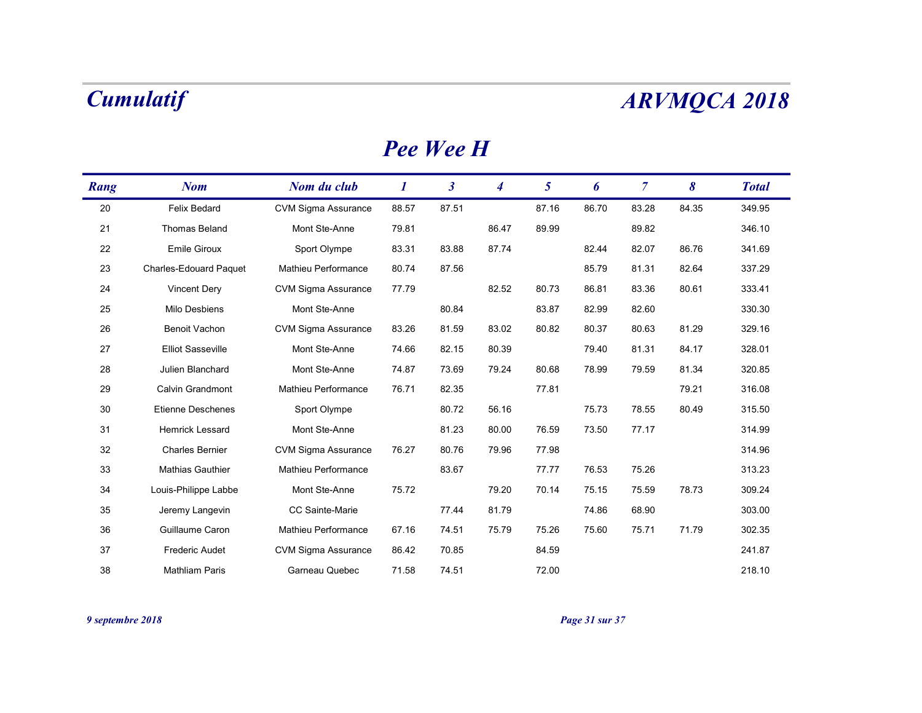|      | <b>Cumulatif</b>         |                            |          |                      |                  |                |       |                |       | <b>ARVMQCA 2018</b> |
|------|--------------------------|----------------------------|----------|----------------------|------------------|----------------|-------|----------------|-------|---------------------|
|      |                          |                            |          | Pee Wee H            |                  |                |       |                |       |                     |
| Rang | <b>Nom</b>               | Nom du club                | $\bm{l}$ | $\boldsymbol{\beta}$ | $\boldsymbol{4}$ | $\mathfrak{s}$ | 6     | $\overline{7}$ | 8     | <b>Total</b>        |
| 20   | Felix Bedard             | CVM Sigma Assurance        | 88.57    | 87.51                |                  | 87.16          | 86.70 | 83.28          | 84.35 | 349.95              |
| 21   | Thomas Beland            | Mont Ste-Anne              | 79.81    |                      | 86.47            | 89.99          |       | 89.82          |       | 346.10              |
| 22   | Emile Giroux             | Sport Olympe               | 83.31    | 83.88                | 87.74            |                | 82.44 | 82.07          | 86.76 | 341.69              |
| 23   | Charles-Edouard Paquet   | Mathieu Performance        | 80.74    | 87.56                |                  |                | 85.79 | 81.31          | 82.64 | 337.29              |
| 24   | <b>Vincent Dery</b>      | CVM Sigma Assurance        | 77.79    |                      | 82.52            | 80.73          | 86.81 | 83.36          | 80.61 | 333.41              |
| 25   | Milo Desbiens            | Mont Ste-Anne              |          | 80.84                |                  | 83.87          | 82.99 | 82.60          |       | 330.30              |
| 26   | Benoit Vachon            | <b>CVM Sigma Assurance</b> | 83.26    | 81.59                | 83.02            | 80.82          | 80.37 | 80.63          | 81.29 | 329.16              |
| 27   | <b>Elliot Sasseville</b> | Mont Ste-Anne              | 74.66    | 82.15                | 80.39            |                | 79.40 | 81.31          | 84.17 | 328.01              |
| 28   | Julien Blanchard         | Mont Ste-Anne              | 74.87    | 73.69                | 79.24            | 80.68          | 78.99 | 79.59          | 81.34 | 320.85              |
| 29   | Calvin Grandmont         | Mathieu Performance        | 76.71    | 82.35                |                  | 77.81          |       |                | 79.21 | 316.08              |
| 30   | <b>Etienne Deschenes</b> | Sport Olympe               |          | 80.72                | 56.16            |                | 75.73 | 78.55          | 80.49 | 315.50              |
| 31   | Hemrick Lessard          | Mont Ste-Anne              |          | 81.23                | 80.00            | 76.59          | 73.50 | 77.17          |       | 314.99              |
| 32   | <b>Charles Bernier</b>   | CVM Sigma Assurance        | 76.27    | 80.76                | 79.96            | 77.98          |       |                |       | 314.96              |
| 33   | Mathias Gauthier         | Mathieu Performance        |          | 83.67                |                  | 77.77          | 76.53 | 75.26          |       | 313.23              |
| 34   | Louis-Philippe Labbe     | Mont Ste-Anne              | 75.72    |                      | 79.20            | 70.14          | 75.15 | 75.59          | 78.73 | 309.24              |
| 35   | Jeremy Langevin          | CC Sainte-Marie            |          | 77.44                | 81.79            |                | 74.86 | 68.90          |       | 303.00              |
| 36   | Guillaume Caron          | Mathieu Performance        | 67.16    | 74.51                | 75.79            | 75.26          | 75.60 | 75.71          | 71.79 | 302.35              |
|      | Frederic Audet           | CVM Sigma Assurance        | 86.42    | 70.85                |                  | 84.59          |       |                |       | 241.87              |
| 37   |                          |                            |          |                      |                  |                |       |                |       |                     |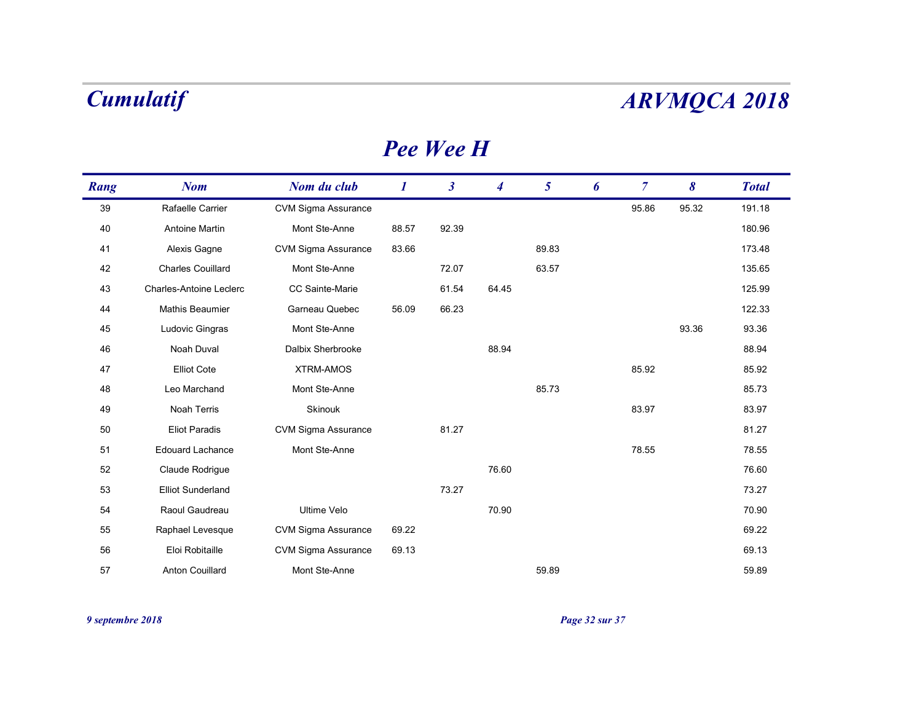|      | <b>Cumulatif</b>         |                            |          |                      |                  |                 |   |                |       | <b>ARVMQCA 2018</b> |
|------|--------------------------|----------------------------|----------|----------------------|------------------|-----------------|---|----------------|-------|---------------------|
|      |                          |                            |          | <b>Pee Wee H</b>     |                  |                 |   |                |       |                     |
| Rang | <b>Nom</b>               | Nom du club                | $\bm{l}$ | $\boldsymbol{\beta}$ | $\boldsymbol{4}$ | $5\overline{)}$ | 6 | $\overline{7}$ | 8     | <b>Total</b>        |
| 39   | Rafaelle Carrier         | CVM Sigma Assurance        |          |                      |                  |                 |   | 95.86          | 95.32 | 191.18              |
| 40   | Antoine Martin           | Mont Ste-Anne              | 88.57    | 92.39                |                  |                 |   |                |       | 180.96              |
| 41   | Alexis Gagne             | <b>CVM Sigma Assurance</b> | 83.66    |                      |                  | 89.83           |   |                |       | 173.48              |
| 42   | <b>Charles Couillard</b> | Mont Ste-Anne              |          | 72.07                |                  | 63.57           |   |                |       | 135.65              |
| 43   | Charles-Antoine Leclerc  | CC Sainte-Marie            |          | 61.54                | 64.45            |                 |   |                |       | 125.99              |
| 44   | Mathis Beaumier          | Garneau Quebec             | 56.09    | 66.23                |                  |                 |   |                |       | 122.33              |
| 45   | Ludovic Gingras          | Mont Ste-Anne              |          |                      |                  |                 |   |                | 93.36 | 93.36               |
| 46   | Noah Duval               | Dalbix Sherbrooke          |          |                      | 88.94            |                 |   |                |       | 88.94               |
| 47   | <b>Elliot Cote</b>       | <b>XTRM-AMOS</b>           |          |                      |                  |                 |   | 85.92          |       | 85.92               |
| 48   | Leo Marchand             | Mont Ste-Anne              |          |                      |                  | 85.73           |   |                |       | 85.73               |
| 49   | Noah Terris              | Skinouk                    |          |                      |                  |                 |   | 83.97          |       | 83.97               |
| 50   | <b>Eliot Paradis</b>     | CVM Sigma Assurance        |          | 81.27                |                  |                 |   |                |       | 81.27               |
| 51   | Edouard Lachance         | Mont Ste-Anne              |          |                      |                  |                 |   | 78.55          |       | 78.55               |
| 52   | Claude Rodrigue          |                            |          |                      | 76.60            |                 |   |                |       | 76.60               |
| 53   | <b>Elliot Sunderland</b> |                            |          | 73.27                |                  |                 |   |                |       | 73.27               |
| 54   | Raoul Gaudreau           | Ultime Velo                |          |                      | 70.90            |                 |   |                |       | 70.90               |
| 55   | Raphael Levesque         | <b>CVM Sigma Assurance</b> | 69.22    |                      |                  |                 |   |                |       | 69.22               |
|      |                          | <b>CVM Sigma Assurance</b> | 69.13    |                      |                  |                 |   |                |       | 69.13               |
| 56   | Eloi Robitaille          |                            |          |                      |                  |                 |   |                |       |                     |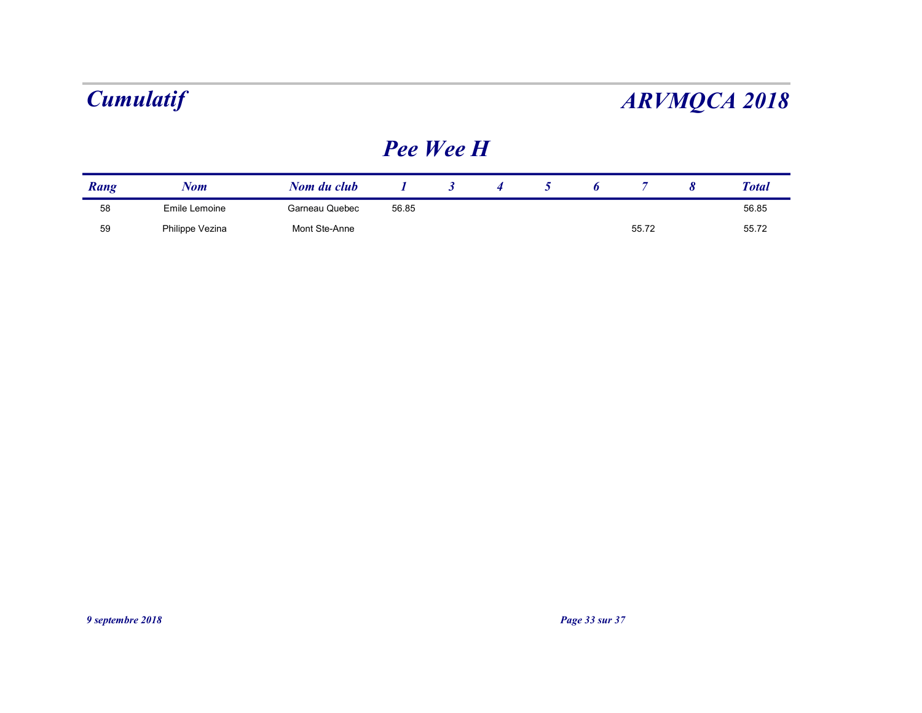| <b>Cumulatif</b><br><b>ARVMQCA 2018</b> |               |                |           |                      |                  |                |   |                |                       |              |  |  |  |
|-----------------------------------------|---------------|----------------|-----------|----------------------|------------------|----------------|---|----------------|-----------------------|--------------|--|--|--|
|                                         |               |                | Pee Wee H |                      |                  |                |   |                |                       |              |  |  |  |
|                                         |               | Nom du club    |           | $\boldsymbol{\beta}$ | $\boldsymbol{4}$ | 5 <sup>5</sup> | 6 | $\overline{7}$ | $\boldsymbol{\delta}$ | <b>Total</b> |  |  |  |
| Rang                                    | <b>Nom</b>    |                |           |                      |                  |                |   |                |                       | 56.85        |  |  |  |
| 58                                      | Emile Lemoine | Garneau Quebec | 56.85     |                      |                  |                |   |                |                       |              |  |  |  |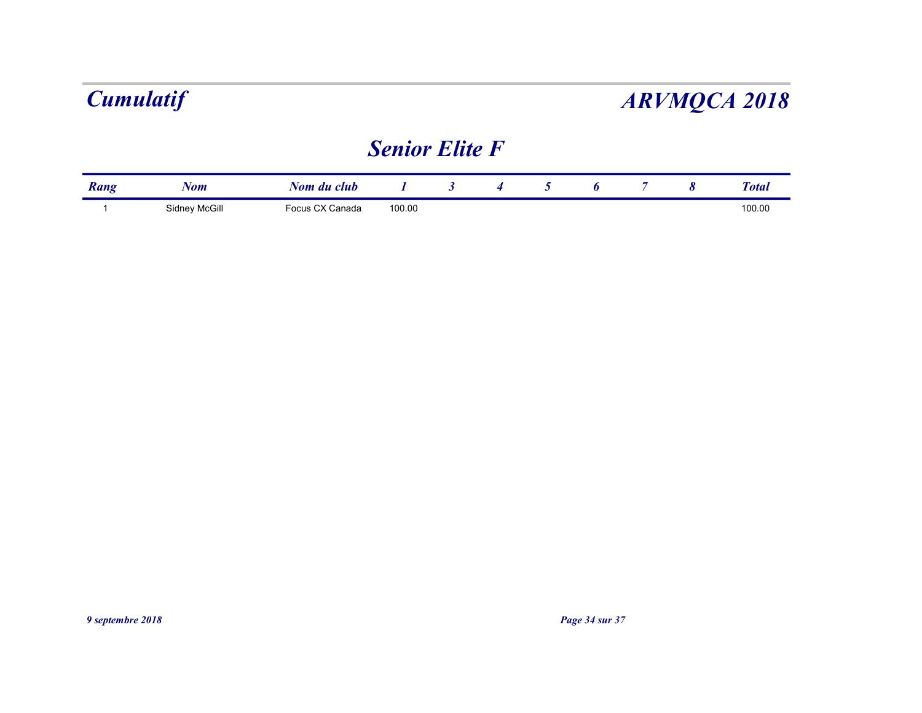## Senior Elite F

|      |            | <b>Cumulatif</b><br><b>ARVMQCA 2018</b> |                       |                      |   |             |   |                |                       |              |  |  |
|------|------------|-----------------------------------------|-----------------------|----------------------|---|-------------|---|----------------|-----------------------|--------------|--|--|
|      |            |                                         |                       |                      |   |             |   |                |                       |              |  |  |
|      |            |                                         | <b>Senior Elite F</b> |                      |   |             |   |                |                       |              |  |  |
| Rang | <b>Nom</b> | Nom du club                             |                       | $\boldsymbol{\beta}$ | 4 | $5^{\circ}$ | 6 | $\overline{7}$ | $\boldsymbol{\delta}$ | <b>Total</b> |  |  |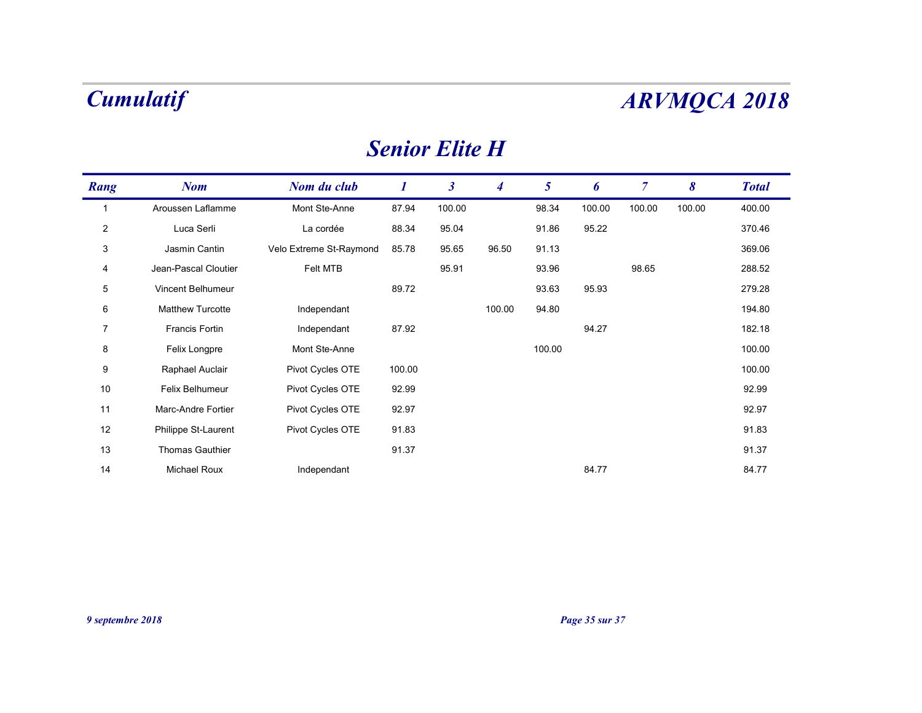| <b>Senior Elite H</b> |  |
|-----------------------|--|
|-----------------------|--|

|                | <b>Cumulatif</b>     |                         |          |                       |                  |                 |        |                |                       | <b>ARVMQCA 2018</b> |
|----------------|----------------------|-------------------------|----------|-----------------------|------------------|-----------------|--------|----------------|-----------------------|---------------------|
|                |                      |                         |          | <b>Senior Elite H</b> |                  |                 |        |                |                       |                     |
| Rang           | <b>Nom</b>           | Nom du club             | $\bm{l}$ | $\boldsymbol{\beta}$  | $\boldsymbol{4}$ | $5\overline{)}$ | 6      | $\overline{7}$ | $\boldsymbol{\delta}$ | <b>Total</b>        |
| $\overline{1}$ | Aroussen Laflamme    | Mont Ste-Anne           | 87.94    | 100.00                |                  | 98.34           | 100.00 | 100.00         | 100.00                | 400.00              |
| $\overline{2}$ | Luca Serli           | La cordée               | 88.34    | 95.04                 |                  | 91.86           | 95.22  |                |                       | 370.46              |
| $\mathbf{3}$   | Jasmin Cantin        | Velo Extreme St-Raymond | 85.78    | 95.65                 | 96.50            | 91.13           |        |                |                       | 369.06              |
| $\overline{4}$ | Jean-Pascal Cloutier | Felt MTB                |          | 95.91                 |                  | 93.96           |        | 98.65          |                       | 288.52              |
| $\,$ 5 $\,$    | Vincent Belhumeur    |                         | 89.72    |                       |                  | 93.63           | 95.93  |                |                       | 279.28              |
| 6              | Matthew Turcotte     | Independant             |          |                       | 100.00           | 94.80           |        |                |                       | 194.80              |
| $\overline{7}$ | Francis Fortin       | Independant             | 87.92    |                       |                  |                 | 94.27  |                |                       | 182.18              |
| 8              | Felix Longpre        | Mont Ste-Anne           |          |                       |                  | 100.00          |        |                |                       | 100.00              |
| 9              | Raphael Auclair      | Pivot Cycles OTE        | 100.00   |                       |                  |                 |        |                |                       | 100.00              |
| 10             | Felix Belhumeur      | Pivot Cycles OTE        | 92.99    |                       |                  |                 |        |                |                       | 92.99               |
| 11             | Marc-Andre Fortier   | Pivot Cycles OTE        | 92.97    |                       |                  |                 |        |                |                       | 92.97               |
| $12$           | Philippe St-Laurent  | Pivot Cycles OTE        | 91.83    |                       |                  |                 |        |                |                       | 91.83               |
| $13$           | Thomas Gauthier      |                         | 91.37    |                       |                  |                 |        |                |                       | 91.37               |
| 14             | Michael Roux         | Independant             |          |                       |                  |                 | 84.77  |                |                       | 84.77               |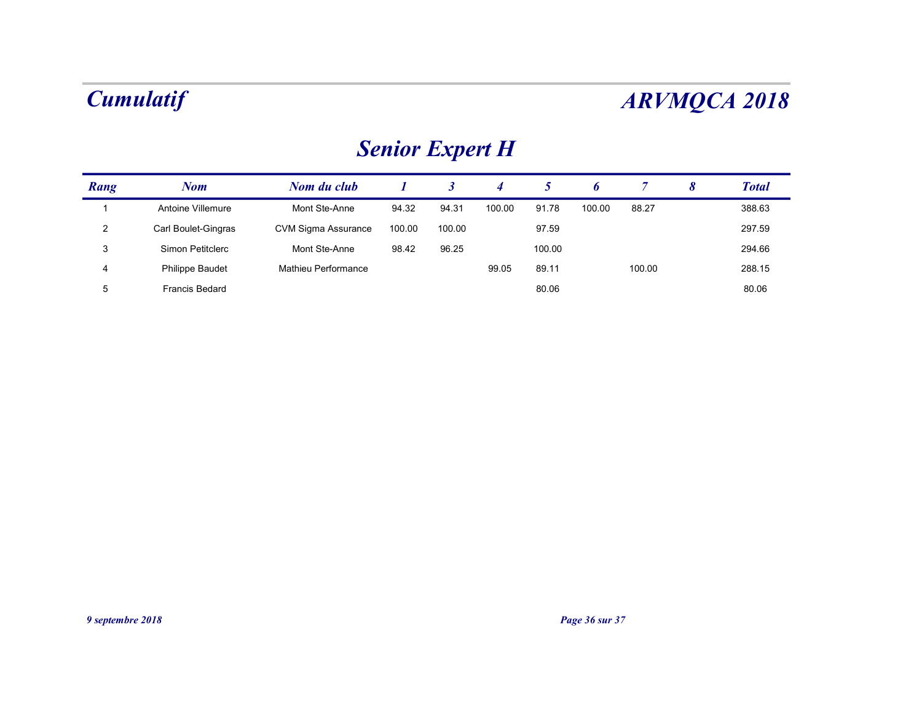# Senior Expert H

|                | <b>Cumulatif</b>    |                            |                  |                      |                |                 |        |                |                       | <b>ARVMQCA 2018</b> |
|----------------|---------------------|----------------------------|------------------|----------------------|----------------|-----------------|--------|----------------|-----------------------|---------------------|
|                |                     | <b>Senior Expert H</b>     |                  |                      |                |                 |        |                |                       |                     |
|                | <b>Nom</b>          | Nom du club                | $\boldsymbol{I}$ | $\boldsymbol{\beta}$ | $\overline{4}$ | $5\overline{)}$ | 6      | $\overline{7}$ | $\boldsymbol{\delta}$ | <b>Total</b>        |
| Rang           |                     |                            |                  |                      | 100.00         | 91.78           | 100.00 | 88.27          |                       | 388.63              |
| $\mathbf{1}$   | Antoine Villemure   | Mont Ste-Anne              | 94.32            | 94.31                |                |                 |        |                |                       |                     |
| $\overline{2}$ | Carl Boulet-Gingras | <b>CVM Sigma Assurance</b> | 100.00           | 100.00               |                | 97.59           |        |                |                       | 297.59              |
| 3              | Simon Petitclerc    | Mont Ste-Anne              | 98.42            | 96.25                |                | 100.00          |        |                |                       | 294.66              |
| $\overline{4}$ | Philippe Baudet     | Mathieu Performance        |                  |                      | 99.05          | 89.11           |        | 100.00         |                       | 288.15              |